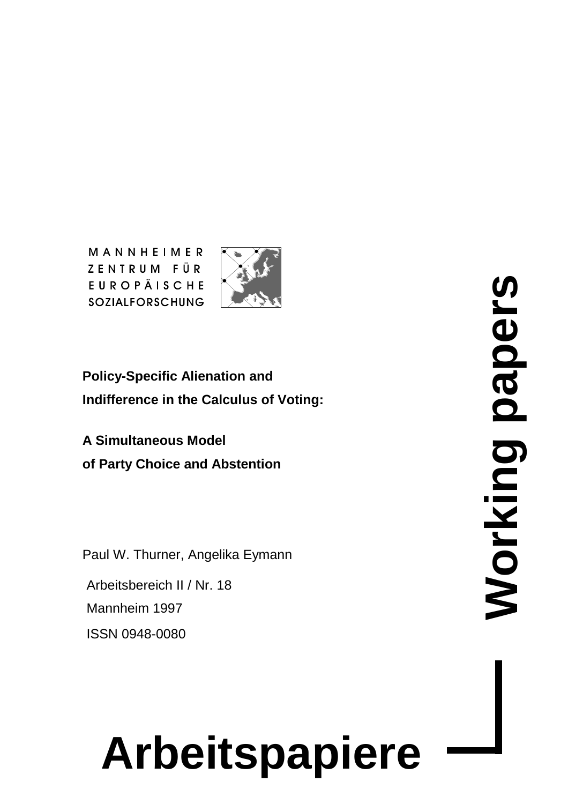



**Policy-Specific Alienation and Indifference in the Calculus of Voting:**

**A Simultaneous Model of Party Choice and Abstention**

Paul W. Thurner, Angelika Eymann ISSN 0948-0080 Arbeitsbereich II / Nr. 18 Mannheim 1997

# **Arbeitspapiere**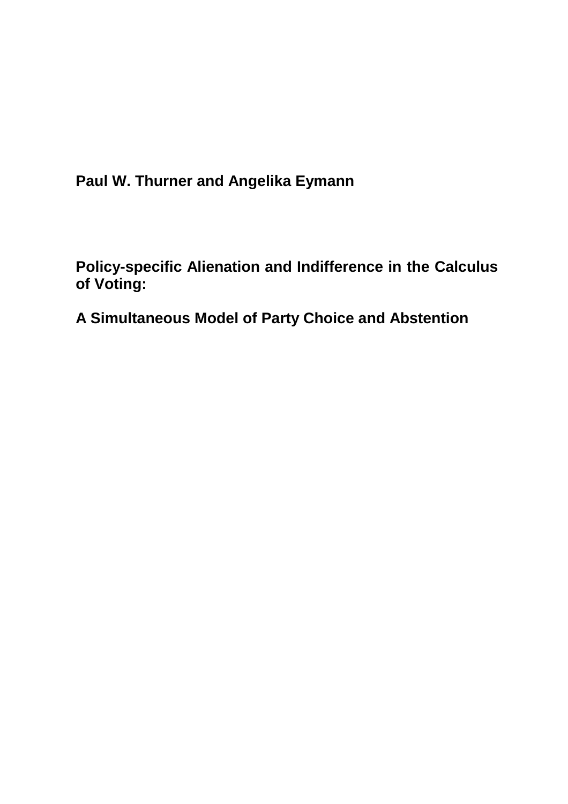**Paul W. Thurner and Angelika Eymann**

**Policy-specific Alienation and Indifference in the Calculus of Voting:**

**A Simultaneous Model of Party Choice and Abstention**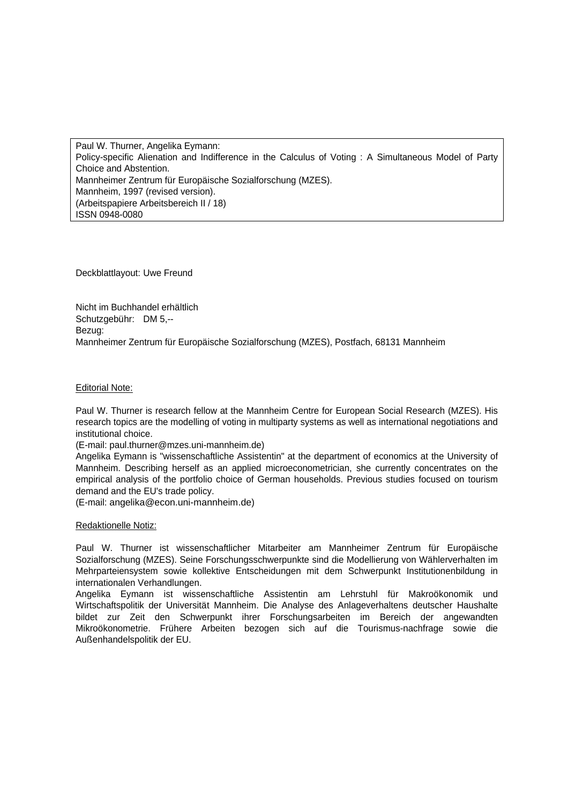Paul W. Thurner, Angelika Eymann: Policy-specific Alienation and Indifference in the Calculus of Voting : A Simultaneous Model of Party Choice and Abstention. Mannheimer Zentrum für Europäische Sozialforschung (MZES). Mannheim, 1997 (revised version). (Arbeitspapiere Arbeitsbereich II / 18) ISSN 0948-0080

Deckblattlayout: Uwe Freund

Nicht im Buchhandel erhältlich Schutzgebühr: DM 5,-- Bezug: Mannheimer Zentrum für Europäische Sozialforschung (MZES), Postfach, 68131 Mannheim

Editorial Note:

Paul W. Thurner is research fellow at the Mannheim Centre for European Social Research (MZES). His research topics are the modelling of voting in multiparty systems as well as international negotiations and institutional choice.

(E-mail: paul.thurner@mzes.uni-mannheim.de)

Angelika Eymann is "wissenschaftliche Assistentin" at the department of economics at the University of Mannheim. Describing herself as an applied microeconometrician, she currently concentrates on the empirical analysis of the portfolio choice of German households. Previous studies focused on tourism demand and the EU's trade policy.

(E-mail: angelika@econ.uni-mannheim.de)

Redaktionelle Notiz:

Paul W. Thurner ist wissenschaftlicher Mitarbeiter am Mannheimer Zentrum für Europäische Sozialforschung (MZES). Seine Forschungsschwerpunkte sind die Modellierung von Wählerverhalten im Mehrparteiensystem sowie kollektive Entscheidungen mit dem Schwerpunkt Institutionenbildung in internationalen Verhandlungen.

Angelika Eymann ist wissenschaftliche Assistentin am Lehrstuhl für Makroökonomik und Wirtschaftspolitik der Universität Mannheim. Die Analyse des Anlageverhaltens deutscher Haushalte bildet zur Zeit den Schwerpunkt ihrer Forschungsarbeiten im Bereich der angewandten Mikroökonometrie. Frühere Arbeiten bezogen sich auf die Tourismus-nachfrage sowie die Außenhandelspolitik der EU.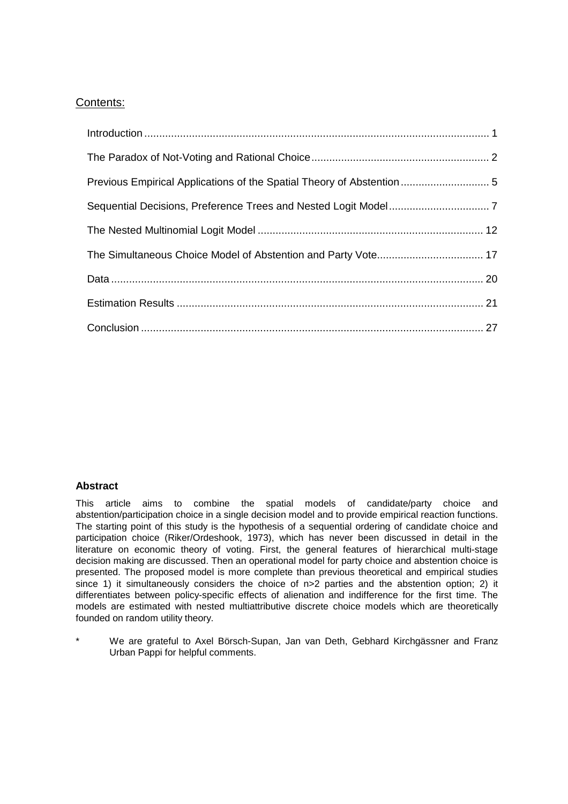## Contents:

| Previous Empirical Applications of the Spatial Theory of Abstention  5 |  |
|------------------------------------------------------------------------|--|
|                                                                        |  |
|                                                                        |  |
|                                                                        |  |
|                                                                        |  |
|                                                                        |  |
|                                                                        |  |

## **Abstract**

This article aims to combine the spatial models of candidate/party choice and abstention/participation choice in a single decision model and to provide empirical reaction functions. The starting point of this study is the hypothesis of a sequential ordering of candidate choice and participation choice (Riker/Ordeshook, 1973), which has never been discussed in detail in the literature on economic theory of voting. First, the general features of hierarchical multi-stage decision making are discussed. Then an operational model for party choice and abstention choice is presented. The proposed model is more complete than previous theoretical and empirical studies since 1) it simultaneously considers the choice of  $n>2$  parties and the abstention option; 2) it differentiates between policy-specific effects of alienation and indifference for the first time. The models are estimated with nested multiattributive discrete choice models which are theoretically founded on random utility theory.

We are grateful to Axel Börsch-Supan, Jan van Deth, Gebhard Kirchgässner and Franz Urban Pappi for helpful comments.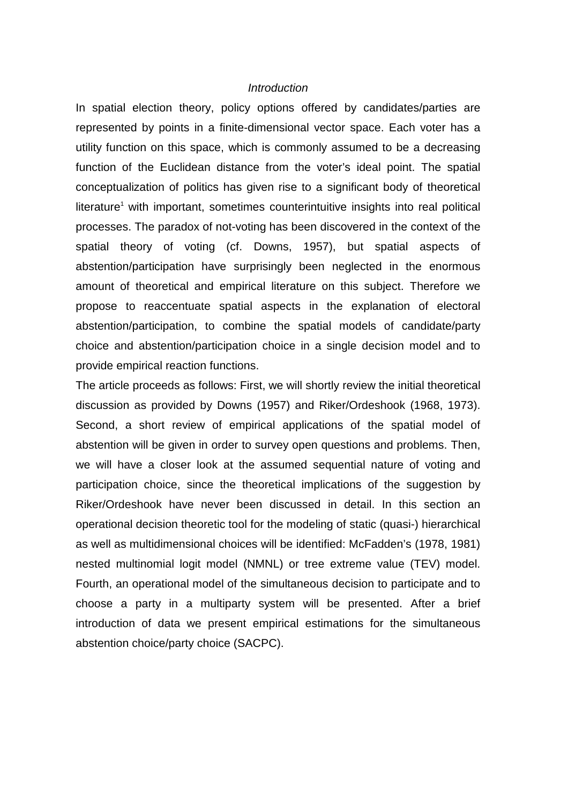#### *Introduction*

<span id="page-4-0"></span>In spatial election theory, policy options offered by candidates/parties are represented by points in a finite-dimensional vector space. Each voter has a utility function on this space, which is commonly assumed to be a decreasing function of the Euclidean distance from the voter's ideal point. The spatial conceptualization of politics has given rise to a significant body of theoretical literature<sup>1</sup> with important, sometimes counterintuitive insights into real political processes. The paradox of not-voting has been discovered in the context of the spatial theory of voting (cf. Downs, 1957), but spatial aspects of abstention/participation have surprisingly been neglected in the enormous amount of theoretical and empirical literature on this subject. Therefore we propose to reaccentuate spatial aspects in the explanation of electoral abstention/participation, to combine the spatial models of candidate/party choice and abstention/participation choice in a single decision model and to provide empirical reaction functions.

The article proceeds as follows: First, we will shortly review the initial theoretical discussion as provided by Downs (1957) and Riker/Ordeshook (1968, 1973). Second, a short review of empirical applications of the spatial model of abstention will be given in order to survey open questions and problems. Then, we will have a closer look at the assumed sequential nature of voting and participation choice, since the theoretical implications of the suggestion by Riker/Ordeshook have never been discussed in detail. In this section an operational decision theoretic tool for the modeling of static (quasi-) hierarchical as well as multidimensional choices will be identified: McFadden's (1978, 1981) nested multinomial logit model (NMNL) or tree extreme value (TEV) model. Fourth, an operational model of the simultaneous decision to participate and to choose a party in a multiparty system will be presented. After a brief introduction of data we present empirical estimations for the simultaneous abstention choice/party choice (SACPC).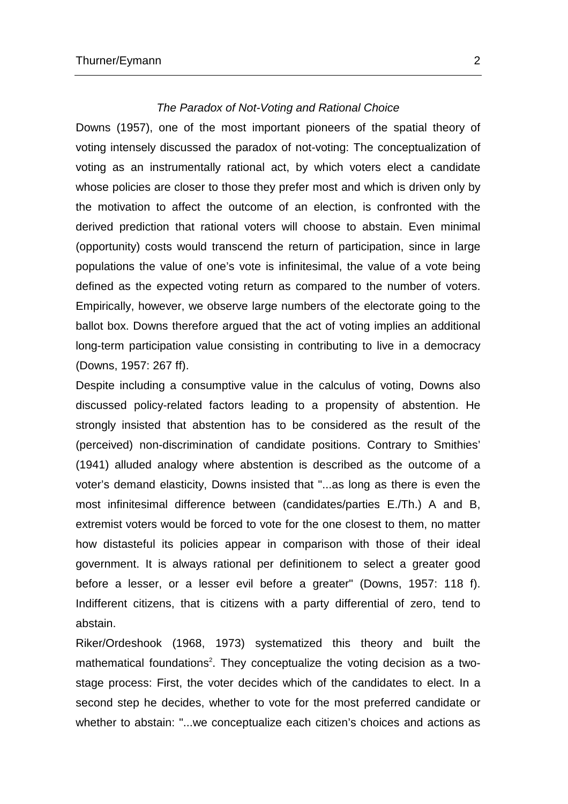#### *The Paradox of Not-Voting and Rational Choice*

<span id="page-5-0"></span>Downs (1957), one of the most important pioneers of the spatial theory of voting intensely discussed the paradox of not-voting: The conceptualization of voting as an instrumentally rational act, by which voters elect a candidate whose policies are closer to those they prefer most and which is driven only by the motivation to affect the outcome of an election, is confronted with the derived prediction that rational voters will choose to abstain. Even minimal (opportunity) costs would transcend the return of participation, since in large populations the value of one's vote is infinitesimal, the value of a vote being defined as the expected voting return as compared to the number of voters. Empirically, however, we observe large numbers of the electorate going to the ballot box. Downs therefore argued that the act of voting implies an additional long-term participation value consisting in contributing to live in a democracy (Downs, 1957: 267 ff).

Despite including a consumptive value in the calculus of voting, Downs also discussed policy-related factors leading to a propensity of abstention. He strongly insisted that abstention has to be considered as the result of the (perceived) non-discrimination of candidate positions. Contrary to Smithies' (1941) alluded analogy where abstention is described as the outcome of a voter's demand elasticity, Downs insisted that "...as long as there is even the most infinitesimal difference between (candidates/parties E./Th.) A and B, extremist voters would be forced to vote for the one closest to them, no matter how distasteful its policies appear in comparison with those of their ideal government. It is always rational per definitionem to select a greater good before a lesser, or a lesser evil before a greater" (Downs, 1957: 118 f). Indifferent citizens, that is citizens with a party differential of zero, tend to abstain.

Riker/Ordeshook (1968, 1973) systematized this theory and built the mathematical foundations<sup>2</sup>. They conceptualize the voting decision as a twostage process: First, the voter decides which of the candidates to elect. In a second step he decides, whether to vote for the most preferred candidate or whether to abstain: "...we conceptualize each citizen's choices and actions as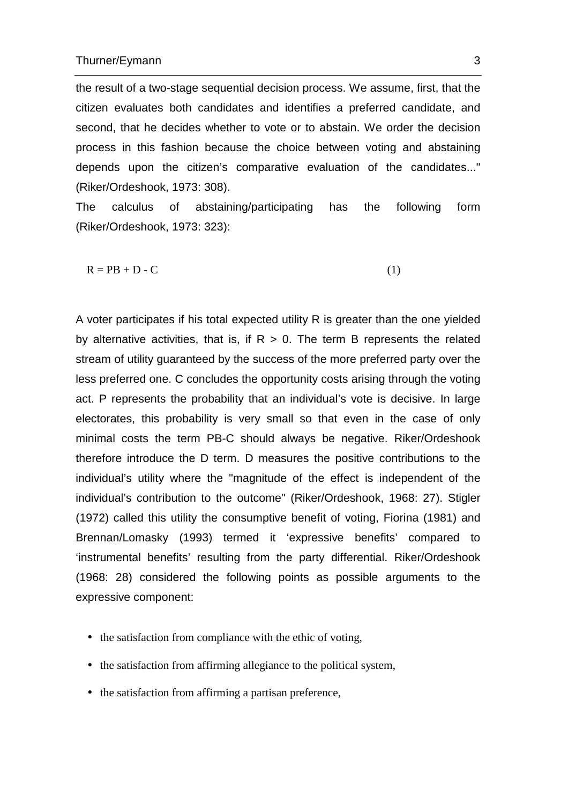the result of a two-stage sequential decision process. We assume, first, that the citizen evaluates both candidates and identifies a preferred candidate, and second, that he decides whether to vote or to abstain. We order the decision process in this fashion because the choice between voting and abstaining depends upon the citizen's comparative evaluation of the candidates..." (Riker/Ordeshook, 1973: 308).

The calculus of abstaining/participating has the following form (Riker/Ordeshook, 1973: 323):

$$
R = PB + D - C \tag{1}
$$

A voter participates if his total expected utility R is greater than the one yielded by alternative activities, that is, if  $R > 0$ . The term B represents the related stream of utility guaranteed by the success of the more preferred party over the less preferred one. C concludes the opportunity costs arising through the voting act. P represents the probability that an individual's vote is decisive. In large electorates, this probability is very small so that even in the case of only minimal costs the term PB-C should always be negative. Riker/Ordeshook therefore introduce the D term. D measures the positive contributions to the individual's utility where the "magnitude of the effect is independent of the individual's contribution to the outcome" (Riker/Ordeshook, 1968: 27). Stigler (1972) called this utility the consumptive benefit of voting, Fiorina (1981) and Brennan/Lomasky (1993) termed it 'expressive benefits' compared to 'instrumental benefits' resulting from the party differential. Riker/Ordeshook (1968: 28) considered the following points as possible arguments to the expressive component:

- the satisfaction from compliance with the ethic of voting,
- the satisfaction from affirming allegiance to the political system,
- the satisfaction from affirming a partisan preference,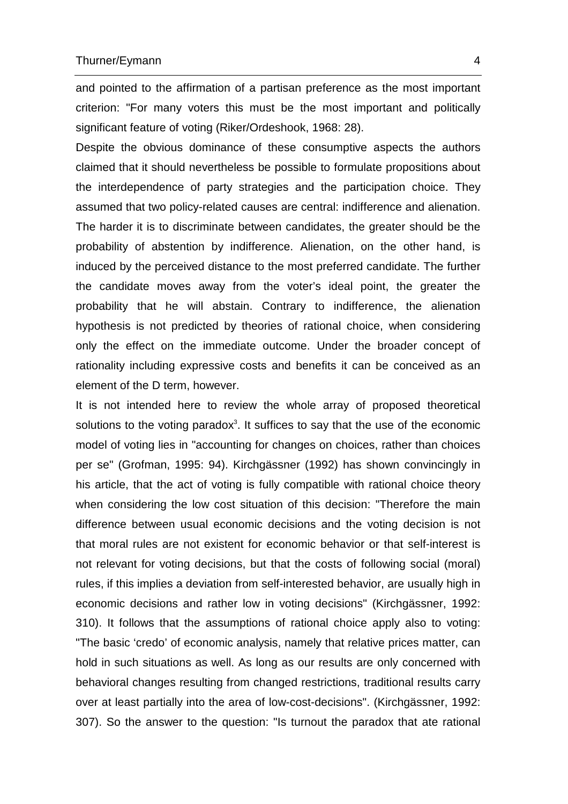and pointed to the affirmation of a partisan preference as the most important criterion: "For many voters this must be the most important and politically significant feature of voting (Riker/Ordeshook, 1968: 28).

Despite the obvious dominance of these consumptive aspects the authors claimed that it should nevertheless be possible to formulate propositions about the interdependence of party strategies and the participation choice. They assumed that two policy-related causes are central: indifference and alienation. The harder it is to discriminate between candidates, the greater should be the probability of abstention by indifference. Alienation, on the other hand, is induced by the perceived distance to the most preferred candidate. The further the candidate moves away from the voter's ideal point, the greater the probability that he will abstain. Contrary to indifference, the alienation hypothesis is not predicted by theories of rational choice, when considering only the effect on the immediate outcome. Under the broader concept of rationality including expressive costs and benefits it can be conceived as an element of the D term, however.

It is not intended here to review the whole array of proposed theoretical solutions to the voting paradox<sup>3</sup>. It suffices to say that the use of the economic model of voting lies in "accounting for changes on choices, rather than choices per se" (Grofman, 1995: 94). Kirchgässner (1992) has shown convincingly in his article, that the act of voting is fully compatible with rational choice theory when considering the low cost situation of this decision: "Therefore the main difference between usual economic decisions and the voting decision is not that moral rules are not existent for economic behavior or that self-interest is not relevant for voting decisions, but that the costs of following social (moral) rules, if this implies a deviation from self-interested behavior, are usually high in economic decisions and rather low in voting decisions" (Kirchgässner, 1992: 310). It follows that the assumptions of rational choice apply also to voting: "The basic 'credo' of economic analysis, namely that relative prices matter, can hold in such situations as well. As long as our results are only concerned with behavioral changes resulting from changed restrictions, traditional results carry over at least partially into the area of low-cost-decisions". (Kirchgässner, 1992: 307). So the answer to the question: "Is turnout the paradox that ate rational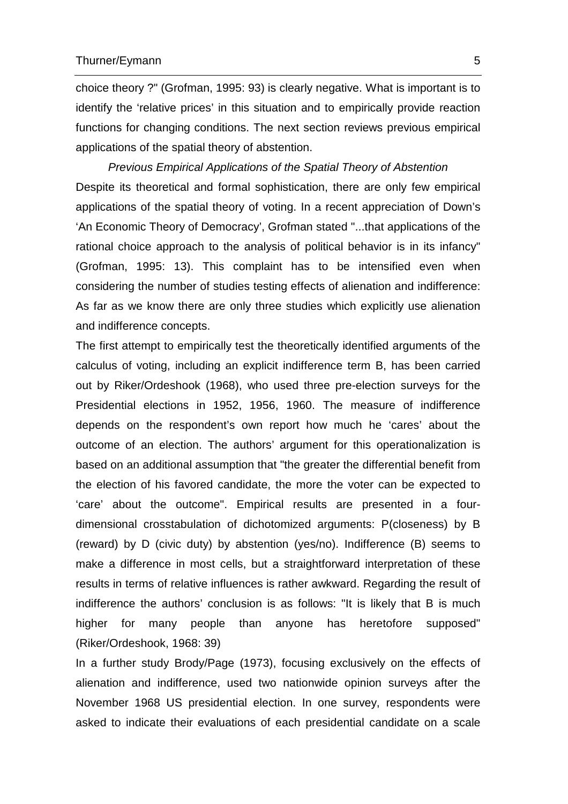## <span id="page-8-0"></span>Thurner/Eymann 5

choice theory ?" (Grofman, 1995: 93) is clearly negative. What is important is to identify the 'relative prices' in this situation and to empirically provide reaction functions for changing conditions. The next section reviews previous empirical applications of the spatial theory of abstention.

*Previous Empirical Applications of the Spatial Theory of Abstention* Despite its theoretical and formal sophistication, there are only few empirical applications of the spatial theory of voting. In a recent appreciation of Down's 'An Economic Theory of Democracy', Grofman stated "...that applications of the rational choice approach to the analysis of political behavior is in its infancy" (Grofman, 1995: 13). This complaint has to be intensified even when considering the number of studies testing effects of alienation and indifference: As far as we know there are only three studies which explicitly use alienation and indifference concepts.

The first attempt to empirically test the theoretically identified arguments of the calculus of voting, including an explicit indifference term B, has been carried out by Riker/Ordeshook (1968), who used three pre-election surveys for the Presidential elections in 1952, 1956, 1960. The measure of indifference depends on the respondent's own report how much he 'cares' about the outcome of an election. The authors' argument for this operationalization is based on an additional assumption that "the greater the differential benefit from the election of his favored candidate, the more the voter can be expected to 'care' about the outcome". Empirical results are presented in a fourdimensional crosstabulation of dichotomized arguments: P(closeness) by B (reward) by D (civic duty) by abstention (yes/no). Indifference (B) seems to make a difference in most cells, but a straightforward interpretation of these results in terms of relative influences is rather awkward. Regarding the result of indifference the authors' conclusion is as follows: "It is likely that B is much higher for many people than anyone has heretofore supposed" (Riker/Ordeshook, 1968: 39)

In a further study Brody/Page (1973), focusing exclusively on the effects of alienation and indifference, used two nationwide opinion surveys after the November 1968 US presidential election. In one survey, respondents were asked to indicate their evaluations of each presidential candidate on a scale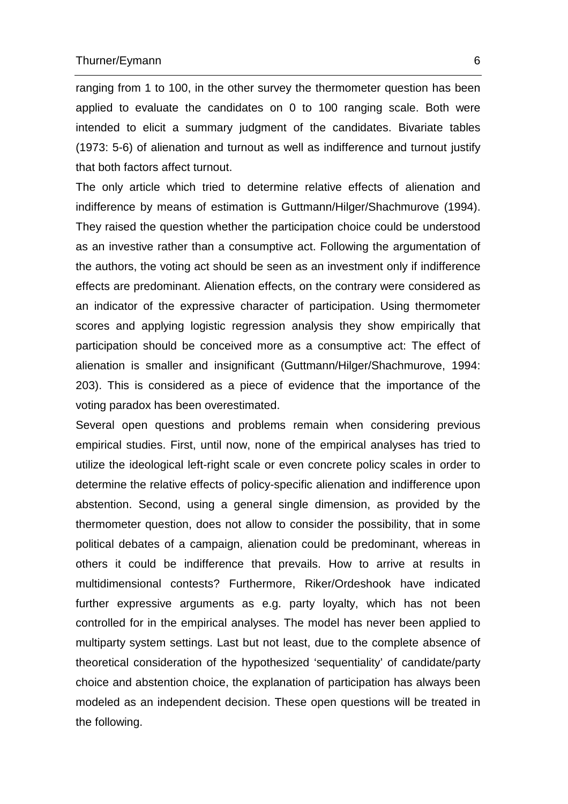ranging from 1 to 100, in the other survey the thermometer question has been applied to evaluate the candidates on 0 to 100 ranging scale. Both were intended to elicit a summary judgment of the candidates. Bivariate tables (1973: 5-6) of alienation and turnout as well as indifference and turnout justify that both factors affect turnout.

The only article which tried to determine relative effects of alienation and indifference by means of estimation is Guttmann/Hilger/Shachmurove (1994). They raised the question whether the participation choice could be understood as an investive rather than a consumptive act. Following the argumentation of the authors, the voting act should be seen as an investment only if indifference effects are predominant. Alienation effects, on the contrary were considered as an indicator of the expressive character of participation. Using thermometer scores and applying logistic regression analysis they show empirically that participation should be conceived more as a consumptive act: The effect of alienation is smaller and insignificant (Guttmann/Hilger/Shachmurove, 1994: 203). This is considered as a piece of evidence that the importance of the voting paradox has been overestimated.

Several open questions and problems remain when considering previous empirical studies. First, until now, none of the empirical analyses has tried to utilize the ideological left-right scale or even concrete policy scales in order to determine the relative effects of policy-specific alienation and indifference upon abstention. Second, using a general single dimension, as provided by the thermometer question, does not allow to consider the possibility, that in some political debates of a campaign, alienation could be predominant, whereas in others it could be indifference that prevails. How to arrive at results in multidimensional contests? Furthermore, Riker/Ordeshook have indicated further expressive arguments as e.g. party loyalty, which has not been controlled for in the empirical analyses. The model has never been applied to multiparty system settings. Last but not least, due to the complete absence of theoretical consideration of the hypothesized 'sequentiality' of candidate/party choice and abstention choice, the explanation of participation has always been modeled as an independent decision. These open questions will be treated in the following.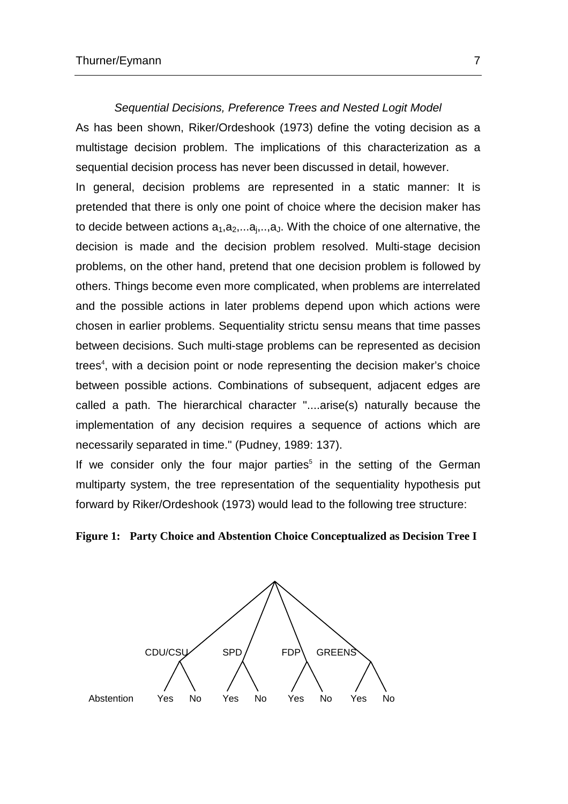<span id="page-10-0"></span>*Sequential Decisions, Preference Trees and Nested Logit Model* As has been shown, Riker/Ordeshook (1973) define the voting decision as a multistage decision problem. The implications of this characterization as a sequential decision process has never been discussed in detail, however. In general, decision problems are represented in a static manner: It is pretended that there is only one point of choice where the decision maker has to decide between actions  $a_1, a_2, \ldots, a_j, a_{j}$ . With the choice of one alternative, the decision is made and the decision problem resolved. Multi-stage decision problems, on the other hand, pretend that one decision problem is followed by others. Things become even more complicated, when problems are interrelated and the possible actions in later problems depend upon which actions were chosen in earlier problems. Sequentiality strictu sensu means that time passes between decisions. Such multi-stage problems can be represented as decision trees<sup>4</sup>, with a decision point or node representing the decision maker's choice between possible actions. Combinations of subsequent, adjacent edges are called a path. The hierarchical character "....arise(s) naturally because the implementation of any decision requires a sequence of actions which are necessarily separated in time." (Pudney, 1989: 137).

If we consider only the four major parties<sup>5</sup> in the setting of the German multiparty system, the tree representation of the sequentiality hypothesis put forward by Riker/Ordeshook (1973) would lead to the following tree structure:

## **Figure 1: Party Choice and Abstention Choice Conceptualized as Decision Tree I**

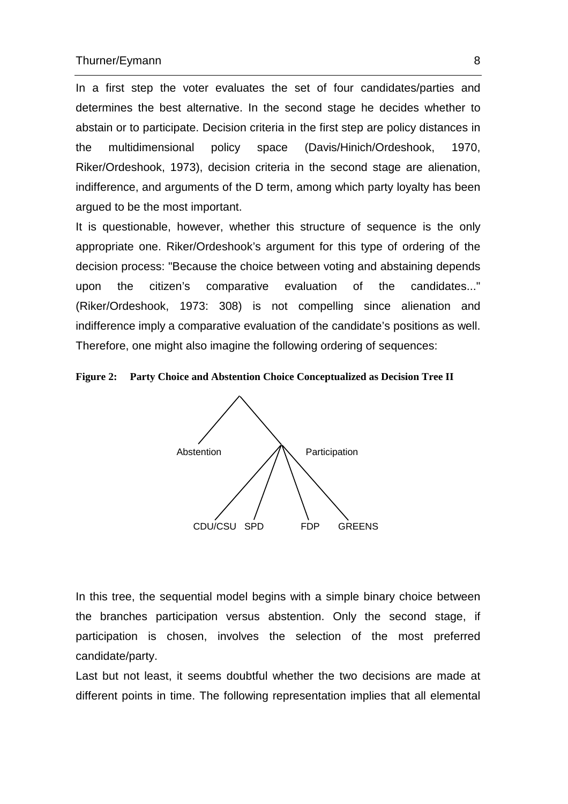In a first step the voter evaluates the set of four candidates/parties and determines the best alternative. In the second stage he decides whether to abstain or to participate. Decision criteria in the first step are policy distances in the multidimensional policy space (Davis/Hinich/Ordeshook, 1970, Riker/Ordeshook, 1973), decision criteria in the second stage are alienation, indifference, and arguments of the D term, among which party loyalty has been argued to be the most important.

It is questionable, however, whether this structure of sequence is the only appropriate one. Riker/Ordeshook's argument for this type of ordering of the decision process: "Because the choice between voting and abstaining depends upon the citizen's comparative evaluation of the candidates..." (Riker/Ordeshook, 1973: 308) is not compelling since alienation and indifference imply a comparative evaluation of the candidate's positions as well. Therefore, one might also imagine the following ordering of sequences:





In this tree, the sequential model begins with a simple binary choice between the branches participation versus abstention. Only the second stage, if participation is chosen, involves the selection of the most preferred candidate/party.

Last but not least, it seems doubtful whether the two decisions are made at different points in time. The following representation implies that all elemental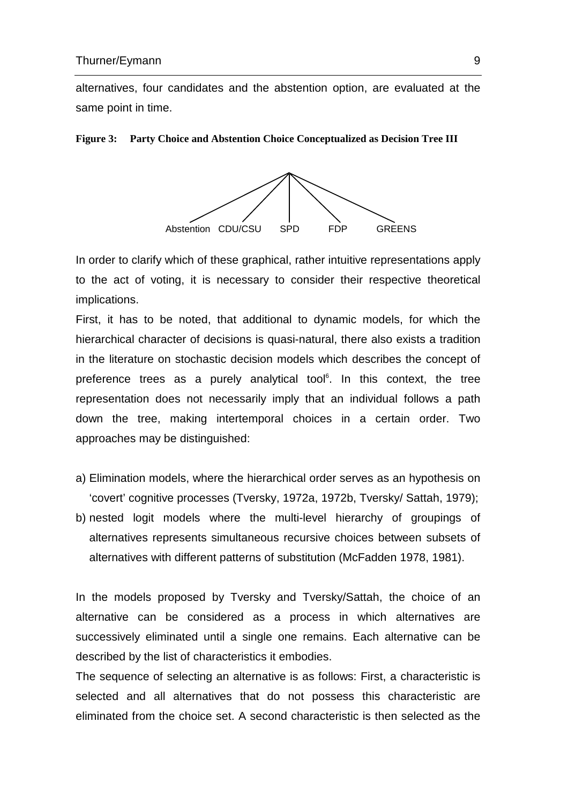alternatives, four candidates and the abstention option, are evaluated at the same point in time.

#### **Figure 3: Party Choice and Abstention Choice Conceptualized as Decision Tree III**



In order to clarify which of these graphical, rather intuitive representations apply to the act of voting, it is necessary to consider their respective theoretical implications.

First, it has to be noted, that additional to dynamic models, for which the hierarchical character of decisions is quasi-natural, there also exists a tradition in the literature on stochastic decision models which describes the concept of preference trees as a purely analytical tool<sup>6</sup>. In this context, the tree representation does not necessarily imply that an individual follows a path down the tree, making intertemporal choices in a certain order. Two approaches may be distinguished:

- a) Elimination models, where the hierarchical order serves as an hypothesis on 'covert' cognitive processes (Tversky, 1972a, 1972b, Tversky/ Sattah, 1979);
- b) nested logit models where the multi-level hierarchy of groupings of alternatives represents simultaneous recursive choices between subsets of alternatives with different patterns of substitution (McFadden 1978, 1981).

In the models proposed by Tversky and Tversky/Sattah, the choice of an alternative can be considered as a process in which alternatives are successively eliminated until a single one remains. Each alternative can be described by the list of characteristics it embodies.

The sequence of selecting an alternative is as follows: First, a characteristic is selected and all alternatives that do not possess this characteristic are eliminated from the choice set. A second characteristic is then selected as the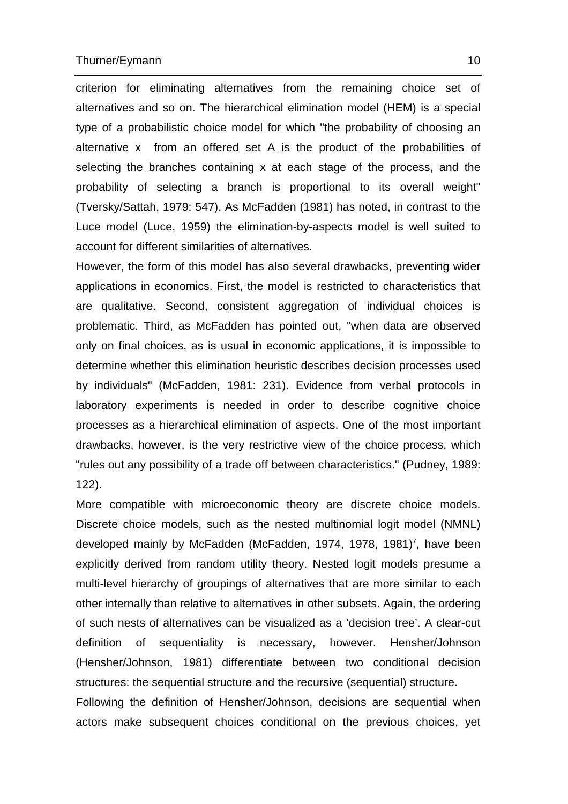## Thurner/Eymann 10

criterion for eliminating alternatives from the remaining choice set of alternatives and so on. The hierarchical elimination model (HEM) is a special type of a probabilistic choice model for which "the probability of choosing an alternative x from an offered set A is the product of the probabilities of selecting the branches containing x at each stage of the process, and the probability of selecting a branch is proportional to its overall weight" (Tversky/Sattah, 1979: 547). As McFadden (1981) has noted, in contrast to the Luce model (Luce, 1959) the elimination-by-aspects model is well suited to account for different similarities of alternatives.

However, the form of this model has also several drawbacks, preventing wider applications in economics. First, the model is restricted to characteristics that are qualitative. Second, consistent aggregation of individual choices is problematic. Third, as McFadden has pointed out, "when data are observed only on final choices, as is usual in economic applications, it is impossible to determine whether this elimination heuristic describes decision processes used by individuals" (McFadden, 1981: 231). Evidence from verbal protocols in laboratory experiments is needed in order to describe cognitive choice processes as a hierarchical elimination of aspects. One of the most important drawbacks, however, is the very restrictive view of the choice process, which "rules out any possibility of a trade off between characteristics." (Pudney, 1989: 122).

More compatible with microeconomic theory are discrete choice models. Discrete choice models, such as the nested multinomial logit model (NMNL) developed mainly by McFadden (McFadden, 19[7](#page-37-0)4, 1978, 1981)<sup>7</sup>, have been explicitly derived from random utility theory. Nested logit models presume a multi-level hierarchy of groupings of alternatives that are more similar to each other internally than relative to alternatives in other subsets. Again, the ordering of such nests of alternatives can be visualized as a 'decision tree'. A clear-cut definition of sequentiality is necessary, however. Hensher/Johnson (Hensher/Johnson, 1981) differentiate between two conditional decision structures: the sequential structure and the recursive (sequential) structure. Following the definition of Hensher/Johnson, decisions are sequential when

actors make subsequent choices conditional on the previous choices, yet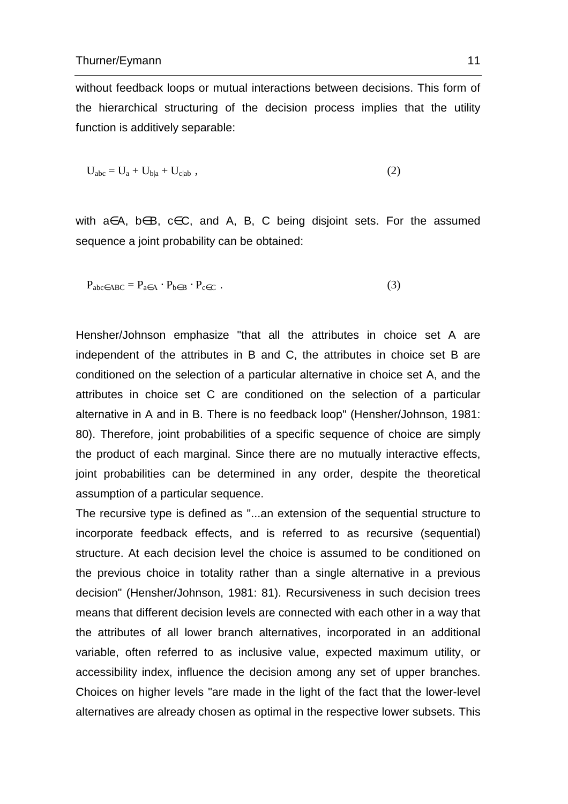without feedback loops or mutual interactions between decisions. This form of the hierarchical structuring of the decision process implies that the utility function is additively separable:

$$
U_{abc} = U_a + U_{b|a} + U_{c|ab} \t\t(2)
$$

with a∈A, b∈B, c∈C, and A, B, C being disjoint sets. For the assumed sequence a joint probability can be obtained:

$$
P_{abc \in ABC} = P_{a \in A} \cdot P_{b \in B} \cdot P_{c \in C} \tag{3}
$$

Hensher/Johnson emphasize "that all the attributes in choice set A are independent of the attributes in B and C, the attributes in choice set B are conditioned on the selection of a particular alternative in choice set A, and the attributes in choice set C are conditioned on the selection of a particular alternative in A and in B. There is no feedback loop" (Hensher/Johnson, 1981: 80). Therefore, joint probabilities of a specific sequence of choice are simply the product of each marginal. Since there are no mutually interactive effects, joint probabilities can be determined in any order, despite the theoretical assumption of a particular sequence.

The recursive type is defined as "...an extension of the sequential structure to incorporate feedback effects, and is referred to as recursive (sequential) structure. At each decision level the choice is assumed to be conditioned on the previous choice in totality rather than a single alternative in a previous decision" (Hensher/Johnson, 1981: 81). Recursiveness in such decision trees means that different decision levels are connected with each other in a way that the attributes of all lower branch alternatives, incorporated in an additional variable, often referred to as inclusive value, expected maximum utility, or accessibility index, influence the decision among any set of upper branches. Choices on higher levels "are made in the light of the fact that the lower-level alternatives are already chosen as optimal in the respective lower subsets. This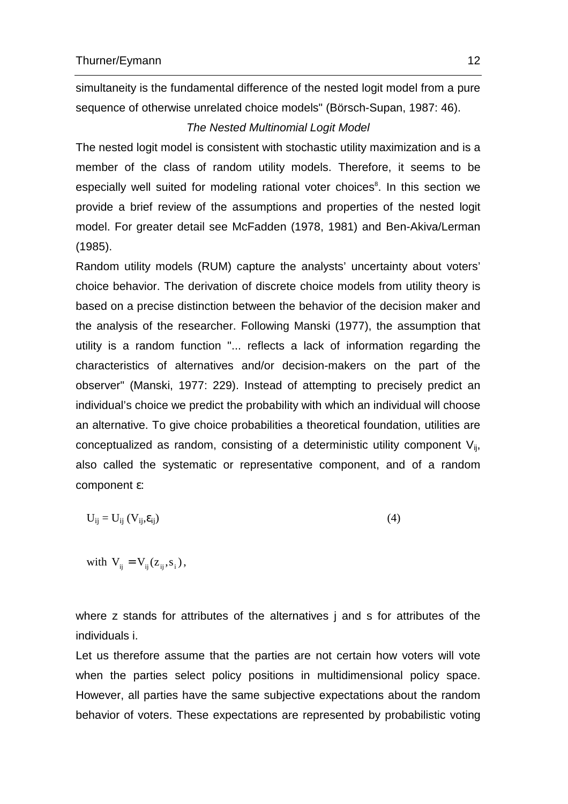<span id="page-15-0"></span>simultaneity is the fundamental difference of the nested logit model from a pure sequence of otherwise unrelated choice models" (Börsch-Supan, 1987: 46).

## *The Nested Multinomial Logit Model*

The nested logit model is consistent with stochastic utility maximization and is a member of the class of random utility models. Therefore, it seems to be especially well suited for modeling rational voter choices<sup>8</sup>. In this section we provide a brief review of the assumptions and properties of the nested logit model. For greater detail see McFadden (1978, 1981) and Ben-Akiva/Lerman (1985).

Random utility models (RUM) capture the analysts' uncertainty about voters' choice behavior. The derivation of discrete choice models from utility theory is based on a precise distinction between the behavior of the decision maker and the analysis of the researcher. Following Manski (1977), the assumption that utility is a random function "... reflects a lack of information regarding the characteristics of alternatives and/or decision-makers on the part of the observer" (Manski, 1977: 229). Instead of attempting to precisely predict an individual's choice we predict the probability with which an individual will choose an alternative. To give choice probabilities a theoretical foundation, utilities are conceptualized as random, consisting of a deterministic utility component  $V_{ii}$ , also called the systematic or representative component, and of a random component ε:

$$
U_{ij} = U_{ij} (V_{ij}, \varepsilon_{ij})
$$
 (4)

with  $V_{ii} = V_{ii}(z_{ii}, s_i)$ ,

where z stands for attributes of the alternatives j and s for attributes of the individuals i.

Let us therefore assume that the parties are not certain how voters will vote when the parties select policy positions in multidimensional policy space. However, all parties have the same subjective expectations about the random behavior of voters. These expectations are represented by probabilistic voting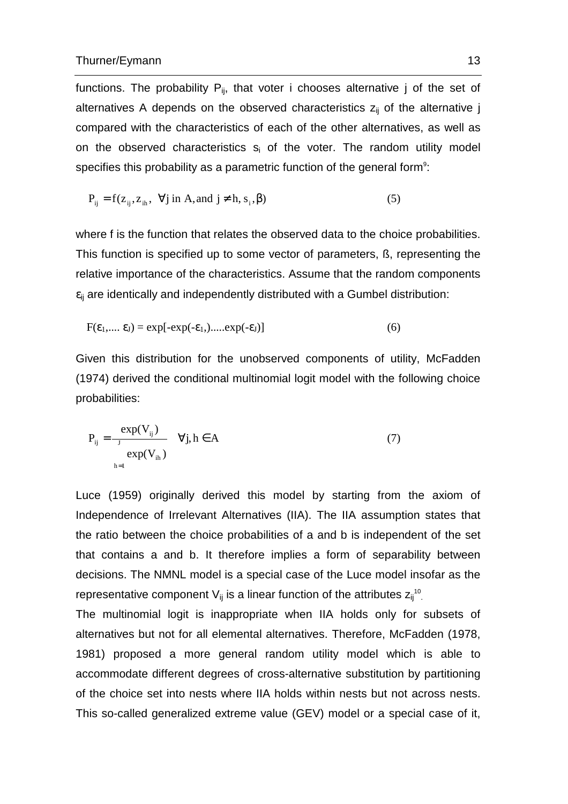functions. The probability  $P_{ij}$ , that voter i chooses alternative j of the set of alternatives A depends on the observed characteristics  $z_{ij}$  of the alternative j compared with the characteristics of each of the other alternatives, as well as on the observed characteristics  $s_i$  of the voter. The random utility model specifies this probability as a parametric function of the general form<sup>9</sup>:

$$
P_{ij} = f(z_{ij}, z_{ih}, \forall j \text{ in } A, \text{ and } j \neq h, s_i, \beta)
$$
 (5)

where f is the function that relates the observed data to the choice probabilities. This function is specified up to some vector of parameters, ß, representing the relative importance of the characteristics. Assume that the random components  $\varepsilon_{ii}$  are identically and independently distributed with a Gumbel distribution:

$$
F(\varepsilon_1, \dots \varepsilon_J) = \exp[-\exp(-\varepsilon_1), \dots, \exp(-\varepsilon_J)]
$$
 (6)

Given this distribution for the unobserved components of utility, McFadden (1974) derived the conditional multinomial logit model with the following choice probabilities:

$$
P_{ij} = \frac{\exp(V_{ij})}{\exp(V_{ih})} \quad \forall j, h \in A
$$
 (7)

Luce (1959) originally derived this model by starting from the axiom of Independence of Irrelevant Alternatives (IIA). The IIA assumption states that the ratio between the choice probabilities of a and b is independent of the set that contains a and b. It therefore implies a form of separability between decisions. The NMNL model is a special case of the Luce model insofar as the representative component V<sub>ij</sub> is a linear function of the attributes  $z_{ij}^{10}$  $z_{ij}^{10}$  $z_{ij}^{10}$ .

The multinomial logit is inappropriate when IIA holds only for subsets of alternatives but not for all elemental alternatives. Therefore, McFadden (1978, 1981) proposed a more general random utility model which is able to accommodate different degrees of cross-alternative substitution by partitioning of the choice set into nests where IIA holds within nests but not across nests. This so-called generalized extreme value (GEV) model or a special case of it,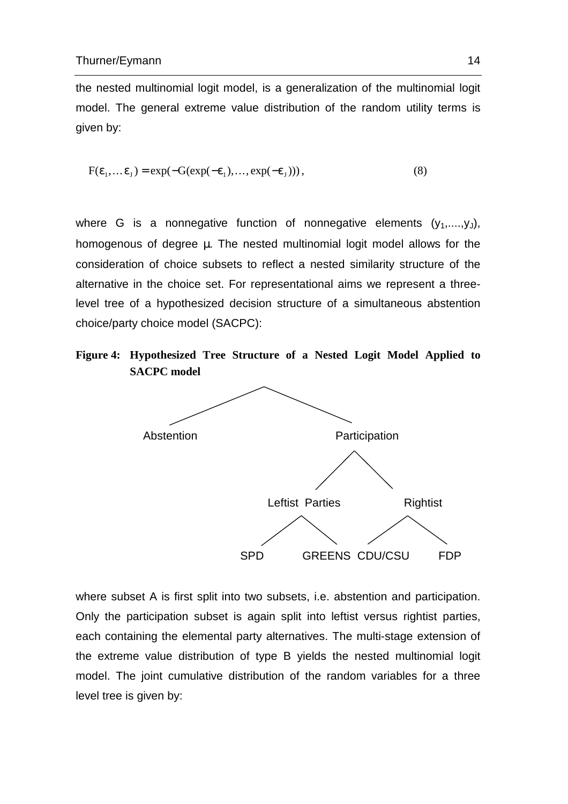the nested multinomial logit model, is a generalization of the multinomial logit model. The general extreme value distribution of the random utility terms is given by:

$$
F(\varepsilon_1, \dots \varepsilon_j) = \exp(-G(\exp(-\varepsilon_1), \dots, \exp(-\varepsilon_j))), \tag{8}
$$

where G is a nonnegative function of nonnegative elements  $(y_1, \ldots, y_J)$ , homogenous of degree  $\mu$ . The nested multinomial logit model allows for the consideration of choice subsets to reflect a nested similarity structure of the alternative in the choice set. For representational aims we represent a threelevel tree of a hypothesized decision structure of a simultaneous abstention choice/party choice model (SACPC):

## **Figure 4: Hypothesized Tree Structure of a Nested Logit Model Applied to SACPC model**



where subset A is first split into two subsets, i.e. abstention and participation. Only the participation subset is again split into leftist versus rightist parties, each containing the elemental party alternatives. The multi-stage extension of the extreme value distribution of type B yields the nested multinomial logit model. The joint cumulative distribution of the random variables for a three level tree is given by: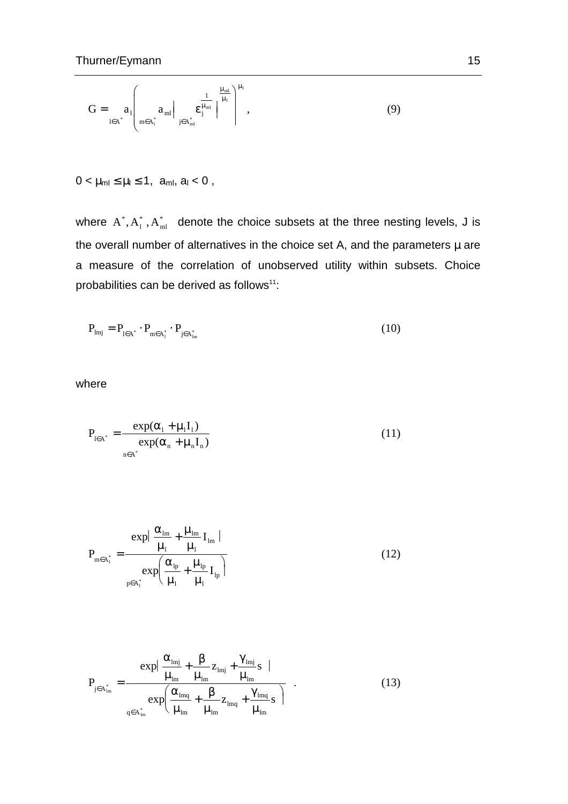$$
G = \left\{ a_{l} \left| \left( a_{m} a_{m} \right) \right|_{j \in A_{m}^{*}} \epsilon_{j}^{\frac{1}{\mu_{m}!}} \right|_{j \in A_{m}^{*}}^{\frac{\mu_{m}!}{\mu_{l}}} \right\}^{\mu_{l}},
$$
\n(9)

 $0 < \mu_{ml} \leq \mu_l \leq 1$ ,  $a_{ml}$ ,  $a_l < 0$ ,

where  $A^*, A^*_n$  ,  $A^*_{ml}$  denote the choice subsets at the three nesting levels, J is the overall number of alternatives in the choice set A, and the parameters  $\mu$  are a measure of the correlation of unobserved utility within subsets. Choice probabilities can be derived as follows<sup>11</sup>:

$$
P_{lmj} = P_{l \in A^*} \cdot P_{m \in A^*_l} \cdot P_{j \in A^*_{lm}} \tag{10}
$$

where

$$
P_{I \in A^*} = \frac{\exp(\alpha_1 + \mu_1 I_1)}{\exp(\alpha_n + \mu_n I_n)}
$$
(11)

$$
P_{m \in A_{1}^{*}} = \frac{\exp \left| \frac{\alpha_{lm}}{\mu_{1}} + \frac{\mu_{lm}}{\mu_{1}} I_{lm} \right|}{\exp \left( \frac{\alpha_{lp}}{\mu_{1}} + \frac{\mu_{lp}}{\mu_{1}} I_{lp} \right)}
$$
(12)

$$
P_{j \in A_{im}^*} = \frac{\exp\left(\frac{\alpha_{lmj}}{\mu_{lm}} + \frac{\beta}{\mu_{lm}} z_{lmj} + \frac{\gamma_{lmj}}{\mu_{lm}} s\right)}{\exp\left(\frac{\alpha_{lmq}}{\mu_{lm}} + \frac{\beta}{\mu_{lm}} z_{lmq} + \frac{\gamma_{lmq}}{\mu_{lm}} s\right)} \quad . \tag{13}
$$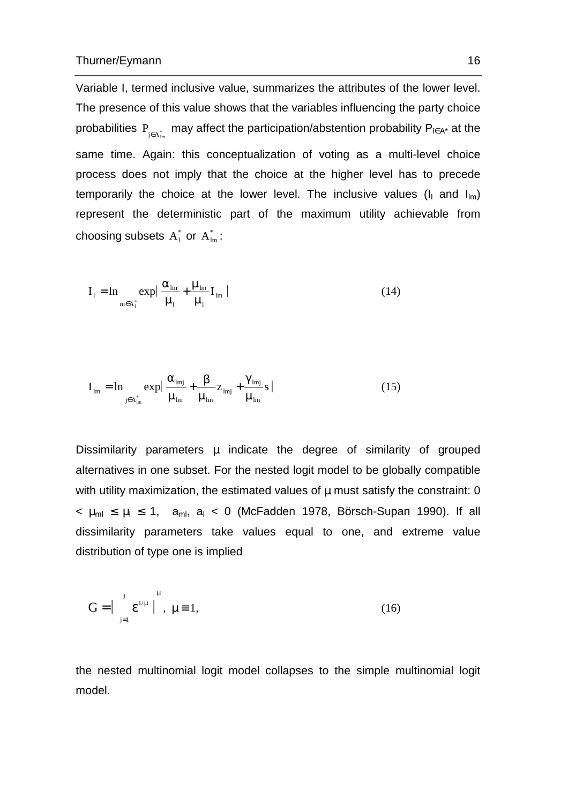Variable I, termed inclusive value, summarizes the attributes of the lower level. The presence of this value shows that the variables influencing the party choice probabilities  $\,{\rm P}_{\rm j\in A_{\rm lm}^*}\,$  may affect the participation/abstention probability  ${\mathsf P}_{\rm l\in A^*}$  at the same time. Again: this conceptualization of voting as a multi-level choice process does not imply that the choice at the higher level has to precede temporarily the choice at the lower level. The inclusive values ( $I_1$  and  $I_{lm}$ ) represent the deterministic part of the maximum utility achievable from choosing subsets  $A^*_1$  or  $A^*_{lm}$ :

$$
\mathbf{I}_{1} = \ln \underset{\mathbf{m} \in \mathbf{A}_{1}^{*}}{\exp} \left| \frac{\alpha_{\mathbf{lm}}}{\mu_{1}} + \frac{\mu_{\mathbf{lm}}}{\mu_{1}} \mathbf{I}_{\mathbf{lm}} \right| \tag{14}
$$

$$
I_{lm} = \ln \underset{j \in A_{lm}^*}{\exp} \left| \frac{\alpha_{lmj}}{\mu_{lm}} + \frac{\beta}{\mu_{lm}} z_{lmj} + \frac{\gamma_{lmj}}{\mu_{lm}} s \right| \tag{15}
$$

Dissimilarity parameters  $\mu$  indicate the degree of similarity of grouped alternatives in one subset. For the nested logit model to be globally compatible with utility maximization, the estimated values of  $\mu$  must satisfy the constraint: 0  $\langle \mu_{\rm m} \rangle \leq \mu_{\rm l} \leq 1$ , a<sub>m</sub>, a<sub>l</sub>  $\langle 0 \rangle$  (McFadden 1978, Börsch-Supan 1990). If all dissimilarity parameters take values equal to one, and extreme value distribution of type one is implied

$$
G = \left| \int_{j=1}^{J} \varepsilon^{1/\mu} \right|^{1}, \ \mu \equiv 1,
$$
 (16)

the nested multinomial logit model collapses to the simple multinomial logit model.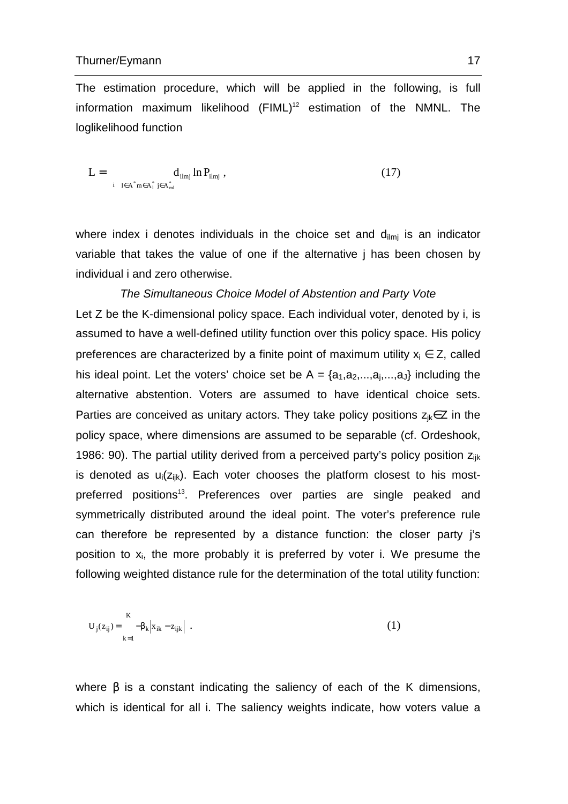<span id="page-20-0"></span>The estimation procedure, which will be applied in the following, is full information maximum likelihood  $(FIML)^{12}$  estimation of the NMNL. The loglikelihood function

$$
L = \frac{d_{\text{limj}}}{\text{ln} A^* \text{ln} A^* \text{ln} A^* \text{ln} B^* \text{ln}} \tag{17}
$$

where index i denotes individuals in the choice set and  $d_{\text{limj}}$  is an indicator variable that takes the value of one if the alternative j has been chosen by individual i and zero otherwise.

## *The Simultaneous Choice Model of Abstention and Party Vote*

Let Z be the K-dimensional policy space. Each individual voter, denoted by i, is assumed to have a well-defined utility function over this policy space. His policy preferences are characterized by a finite point of maximum utility  $x_i \in Z$ , called his ideal point. Let the voters' choice set be  $A = \{a_1, a_2, ..., a_i, ..., a_J\}$  including the alternative abstention. Voters are assumed to have identical choice sets. Parties are conceived as unitary actors. They take policy positions  $z_{ik} \in Z$  in the policy space, where dimensions are assumed to be separable (cf. Ordeshook, 1986: 90). The partial utility derived from a perceived party's policy position  $z_{ijk}$ is denoted as  $u_i(z_{ijk})$ . Each voter chooses the platform closest to his mostpreferred positions<sup>13</sup>. Preferences over parties are single peaked and symmetrically distributed around the ideal point. The voter's preference rule can therefore be represented by a distance function: the closer party j's position to  $x_i$ , the more probably it is preferred by voter i. We presume the following weighted distance rule for the determination of the total utility function:

$$
U_j(z_{ij}) = \sum_{k=1}^{K} -\beta_k |x_{ik} - z_{ijk}| \tag{1}
$$

where  $\beta$  is a constant indicating the saliency of each of the K dimensions, which is identical for all i. The saliency weights indicate, how voters value a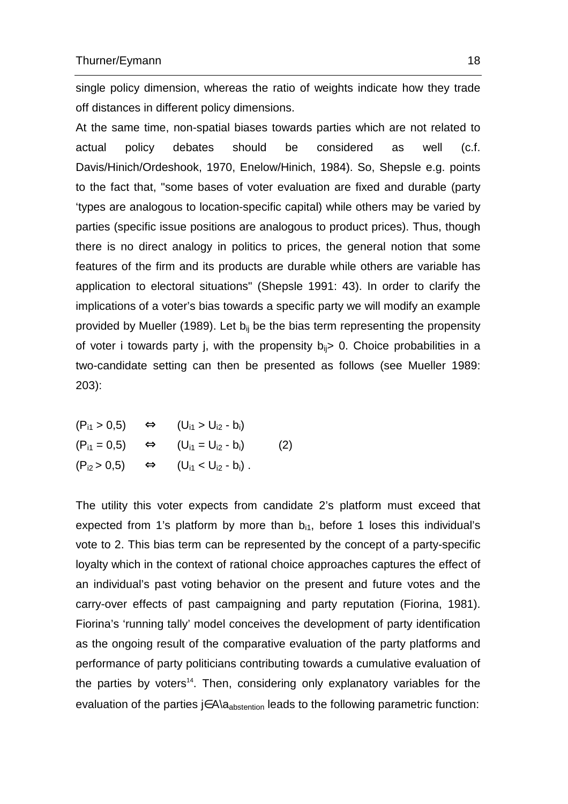single policy dimension, whereas the ratio of weights indicate how they trade off distances in different policy dimensions.

At the same time, non-spatial biases towards parties which are not related to actual policy debates should be considered as well (c.f. Davis/Hinich/Ordeshook, 1970, Enelow/Hinich, 1984). So, Shepsle e.g. points to the fact that, "some bases of voter evaluation are fixed and durable (party 'types are analogous to location-specific capital) while others may be varied by parties (specific issue positions are analogous to product prices). Thus, though there is no direct analogy in politics to prices, the general notion that some features of the firm and its products are durable while others are variable has application to electoral situations" (Shepsle 1991: 43). In order to clarify the implications of a voter's bias towards a specific party we will modify an example provided by Mueller (1989). Let  $b_{ii}$  be the bias term representing the propensity of voter i towards party j, with the propensity  $b_{ii}$  > 0. Choice probabilities in a two-candidate setting can then be presented as follows (see Mueller 1989: 203):

|  | $(P_{i1} > 0,5)$ $\Leftrightarrow$ $(U_{i1} > U_{i2} - b_i)$   |     |
|--|----------------------------------------------------------------|-----|
|  | $(P_{i1} = 0.5)$ $\Leftrightarrow$ $(U_{i1} = U_{i2} - b_i)$   | (2) |
|  | $(P_{i2} > 0.5)$ $\Leftrightarrow$ $(U_{i1} < U_{i2} - b_i)$ . |     |

The utility this voter expects from candidate 2's platform must exceed that expected from 1's platform by more than  $b_{i1}$ , before 1 loses this individual's vote to 2. This bias term can be represented by the concept of a party-specific loyalty which in the context of rational choice approaches captures the effect of an individual's past voting behavior on the present and future votes and the carry-over effects of past campaigning and party reputation (Fiorina, 1981). Fiorina's 'running tally' model conceives the development of party identification as the ongoing result of the comparative evaluation of the party platforms and performance of party politicians contributing towards a cumulative evaluation of the parties by voters<sup>14</sup>. Then, considering only explanatory variables for the evaluation of the parties j∈A\a<sub>abstention</sub> leads to the following parametric function: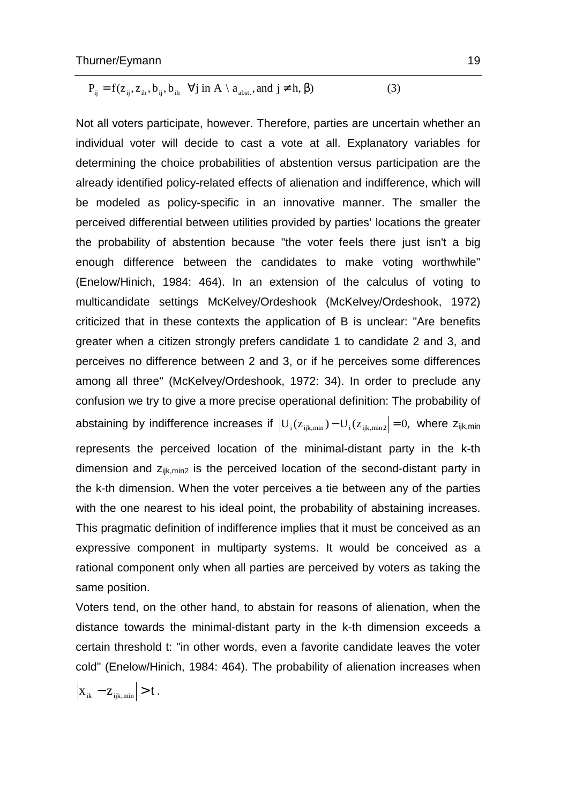$$
P_{ij} = f(z_{ij}, z_{ih}, b_{ij}, b_{ih} \quad \forall j \text{ in } A \setminus a_{\text{abst.}}, \text{and } j \neq h, \beta)
$$
 (3)

Not all voters participate, however. Therefore, parties are uncertain whether an individual voter will decide to cast a vote at all. Explanatory variables for determining the choice probabilities of abstention versus participation are the already identified policy-related effects of alienation and indifference, which will be modeled as policy-specific in an innovative manner. The smaller the perceived differential between utilities provided by parties' locations the greater the probability of abstention because "the voter feels there just isn't a big enough difference between the candidates to make voting worthwhile" (Enelow/Hinich, 1984: 464). In an extension of the calculus of voting to multicandidate settings McKelvey/Ordeshook (McKelvey/Ordeshook, 1972) criticized that in these contexts the application of B is unclear: "Are benefits greater when a citizen strongly prefers candidate 1 to candidate 2 and 3, and perceives no difference between 2 and 3, or if he perceives some differences among all three" (McKelvey/Ordeshook, 1972: 34). In order to preclude any confusion we try to give a more precise operational definition: The probability of abstaining by indifference increases if  $\left|U_i(z_{ijk,min})-U_i(z_{ijk,min2}\right|=0$ , where  $z_{ijk,min}$ represents the perceived location of the minimal-distant party in the k-th dimension and  $z_{ik,min2}$  is the perceived location of the second-distant party in the k-th dimension. When the voter perceives a tie between any of the parties with the one nearest to his ideal point, the probability of abstaining increases. This pragmatic definition of indifference implies that it must be conceived as an expressive component in multiparty systems. It would be conceived as a rational component only when all parties are perceived by voters as taking the same position.

Voters tend, on the other hand, to abstain for reasons of alienation, when the distance towards the minimal-distant party in the k-th dimension exceeds a certain threshold t: "in other words, even a favorite candidate leaves the voter cold" (Enelow/Hinich, 1984: 464). The probability of alienation increases when  $|x_{ik} - z_{ijk, min}| > t$ .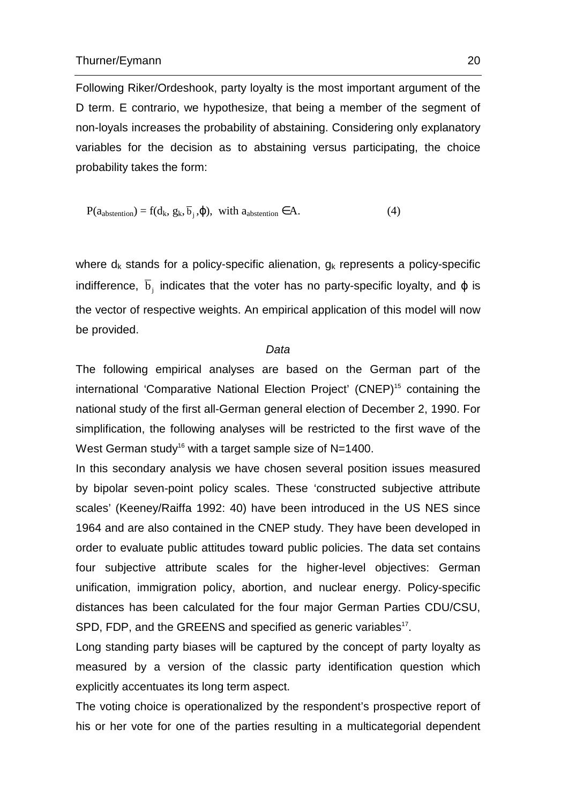<span id="page-23-0"></span>Following Riker/Ordeshook, party loyalty is the most important argument of the D term. E contrario, we hypothesize, that being a member of the segment of non-loyals increases the probability of abstaining. Considering only explanatory variables for the decision as to abstaining versus participating, the choice probability takes the form:

$$
P(a_{\text{abstention}}) = f(d_k, g_k, \overline{b}_j, \varphi), \text{ with } a_{\text{abstention}} \in A. \tag{4}
$$

where  $d_k$  stands for a policy-specific alienation,  $g_k$  represents a policy-specific indifference,  $\overline{b}_i$  indicates that the voter has no party-specific loyalty, and  $\varphi$  is the vector of respective weights. An empirical application of this model will now be provided.

#### *Data*

The following empirical analyses are based on the German part of the international 'Comparative National Election Project' (CNEP)<sup>15</sup> containing the national study of the first all-German general election of December 2, 1990. For simplification, the following analyses will be restricted to the first wave of the West German study<sup>16</sup> with a target sample size of  $N=1400$ .

In this secondary analysis we have chosen several position issues measured by bipolar seven-point policy scales. These 'constructed subjective attribute scales' (Keeney/Raiffa 1992: 40) have been introduced in the US NES since 1964 and are also contained in the CNEP study. They have been developed in order to evaluate public attitudes toward public policies. The data set contains four subjective attribute scales for the higher-level objectives: German unification, immigration policy, abortion, and nuclear energy. Policy-specific distances has been calculated for the four major German Parties CDU/CSU, SPD, FDP, and the GREENS and specified as generic variables<sup>17</sup>.

Long standing party biases will be captured by the concept of party loyalty as measured by a version of the classic party identification question which explicitly accentuates its long term aspect.

The voting choice is operationalized by the respondent's prospective report of his or her vote for one of the parties resulting in a multicategorial dependent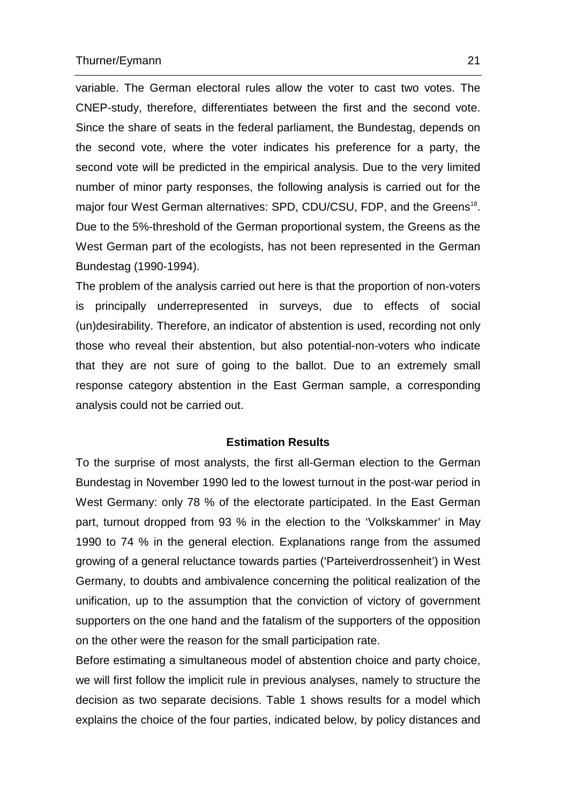## <span id="page-24-0"></span>Thurner/Eymann 21

variable. The German electoral rules allow the voter to cast two votes. The CNEP-study, therefore, differentiates between the first and the second vote. Since the share of seats in the federal parliament, the Bundestag, depends on the second vote, where the voter indicates his preference for a party, the second vote will be predicted in the empirical analysis. Due to the very limited number of minor party responses, the following analysis is carried out for the major four West German alternatives: SPD, CDU/CSU, FDP, and the Greens<sup>18</sup>. Due to the 5%-threshold of the German proportional system, the Greens as the West German part of the ecologists, has not been represented in the German Bundestag (1990-1994).

The problem of the analysis carried out here is that the proportion of non-voters is principally underrepresented in surveys, due to effects of social (un)desirability. Therefore, an indicator of abstention is used, recording not only those who reveal their abstention, but also potential-non-voters who indicate that they are not sure of going to the ballot. Due to an extremely small response category abstention in the East German sample, a corresponding analysis could not be carried out.

#### **Estimation Results**

To the surprise of most analysts, the first all-German election to the German Bundestag in November 1990 led to the lowest turnout in the post-war period in West Germany: only 78 % of the electorate participated. In the East German part, turnout dropped from 93 % in the election to the 'Volkskammer' in May 1990 to 74 % in the general election. Explanations range from the assumed growing of a general reluctance towards parties ('Parteiverdrossenheit') in West Germany, to doubts and ambivalence concerning the political realization of the unification, up to the assumption that the conviction of victory of government supporters on the one hand and the fatalism of the supporters of the opposition on the other were the reason for the small participation rate.

Before estimating a simultaneous model of abstention choice and party choice, we will first follow the implicit rule in previous analyses, namely to structure the decision as two separate decisions. Table 1 shows results for a model which explains the choice of the four parties, indicated below, by policy distances and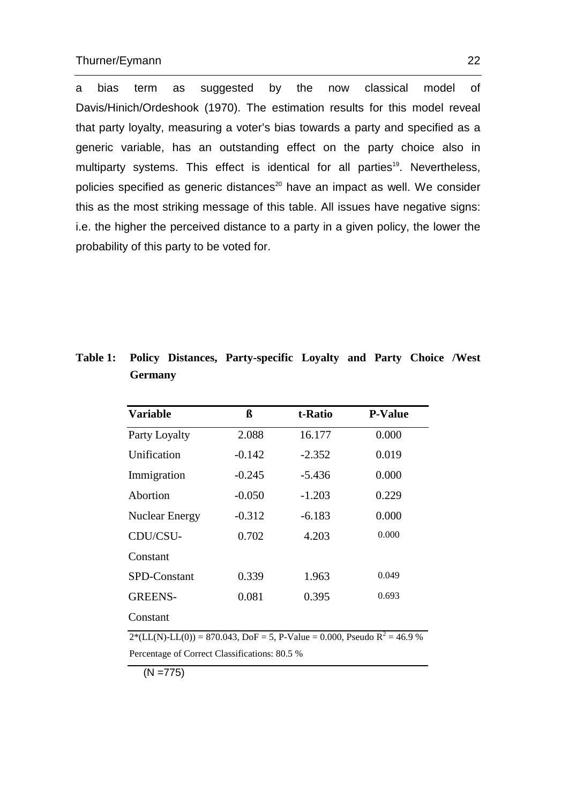a bias term as suggested by the now classical model of Davis/Hinich/Ordeshook (1970). The estimation results for this model reveal that party loyalty, measuring a voter's bias towards a party and specified as a generic variable, has an outstanding effect on the party choice also in multiparty systems. This effect is identical for all parties<sup>19</sup>. Nevertheless, policies specified as generic distances $20$  have an impact as well. We consider this as the most striking message of this table. All issues have negative signs: i.e. the higher the perceived distance to a party in a given policy, the lower the probability of this party to be voted for.

| <b>Variable</b>       | ß        | t-Ratio  | <b>P-Value</b> |
|-----------------------|----------|----------|----------------|
| Party Loyalty         | 2.088    | 16.177   | 0.000          |
| Unification           | $-0.142$ | $-2.352$ | 0.019          |
| Immigration           | $-0.245$ | $-5.436$ | 0.000          |
| Abortion              | $-0.050$ | $-1.203$ | 0.229          |
| <b>Nuclear Energy</b> | $-0.312$ | $-6.183$ | 0.000          |
| CDU/CSU-              | 0.702    | 4.203    | 0.000          |
| Constant              |          |          |                |
| SPD-Constant          | 0.339    | 1.963    | 0.049          |
| <b>GREENS-</b>        | 0.081    | 0.395    | 0.693          |
| Constant              |          |          |                |

**Table 1: Policy Distances, Party-specific Loyalty and Party Choice /West Germany**

 $2*(LL(N)-LL(0)) = 870.043$ , DoF = 5, P-Value = 0.000, Pseudo R<sup>2</sup> = 46.9 % Percentage of Correct Classifications: 80.5 %

$$
(N = 775)
$$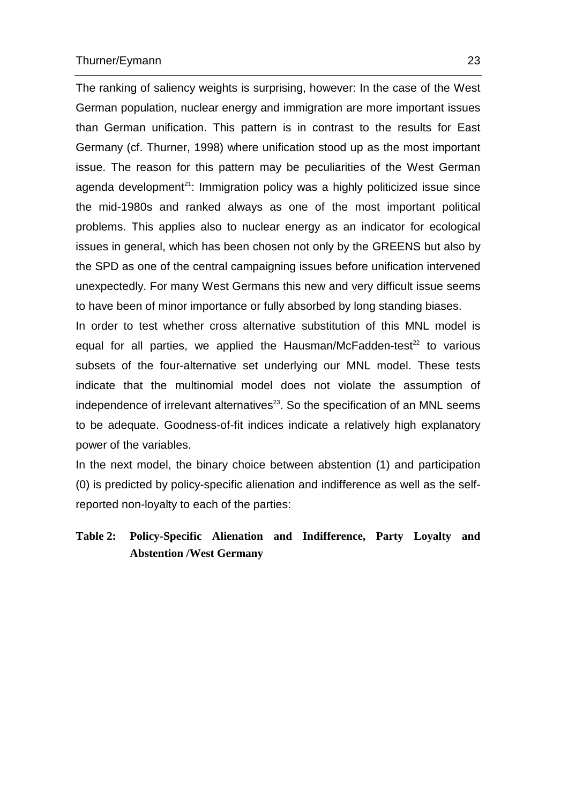The ranking of saliency weights is surprising, however: In the case of the West German population, nuclear energy and immigration are more important issues than German unification. This pattern is in contrast to the results for East Germany (cf. Thurner, 1998) where unification stood up as the most important issue. The reason for this pattern may be peculiarities of the West German agenda development<sup>21</sup>: Immigration policy was a highly politicized issue since the mid-1980s and ranked always as one of the most important political problems. This applies also to nuclear energy as an indicator for ecological issues in general, which has been chosen not only by the GREENS but also by the SPD as one of the central campaigning issues before unification intervened unexpectedly. For many West Germans this new and very difficult issue seems to have been of minor importance or fully absorbed by long standing biases.

In order to test whether cross alternative substitution of this MNL model is equal for all parties, we applied the Hausman/McFadden-test<sup>22</sup> to various subsets of the four-alternative set underlying our MNL model. These tests indicate that the multinomial model does not violate the assumption of independence of irrelevant alternatives<sup>23</sup>. So the specification of an MNL seems to be adequate. Goodness-of-fit indices indicate a relatively high explanatory power of the variables.

In the next model, the binary choice between abstention (1) and participation (0) is predicted by policy-specific alienation and indifference as well as the selfreported non-loyalty to each of the parties:

# **Table 2: Policy-Specific Alienation and Indifference, Party Loyalty and Abstention /West Germany**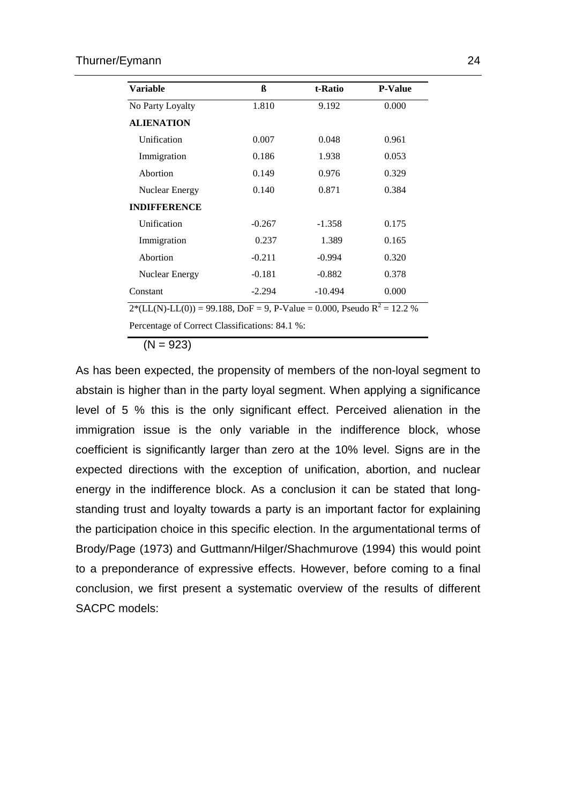| <b>Variable</b>                                                                       | ß        | t-Ratio   | <b>P-Value</b> |
|---------------------------------------------------------------------------------------|----------|-----------|----------------|
| No Party Loyalty                                                                      | 1.810    | 9.192     | 0.000          |
| <b>ALIENATION</b>                                                                     |          |           |                |
| Unification                                                                           | 0.007    | 0.048     | 0.961          |
| Immigration                                                                           | 0.186    | 1.938     | 0.053          |
| Abortion                                                                              | 0.149    | 0.976     | 0.329          |
| Nuclear Energy                                                                        | 0.140    | 0.871     | 0.384          |
| <b>INDIFFERENCE</b>                                                                   |          |           |                |
| Unification                                                                           | $-0.267$ | $-1.358$  | 0.175          |
| Immigration                                                                           | 0.237    | 1.389     | 0.165          |
| Abortion                                                                              | $-0.211$ | $-0.994$  | 0.320          |
| Nuclear Energy                                                                        | $-0.181$ | $-0.882$  | 0.378          |
| Constant                                                                              | $-2.294$ | $-10.494$ | 0.000          |
| $2*(LL(N)-LL(0)) = 99.188$ , DoF = 9, P-Value = 0.000, Pseudo R <sup>2</sup> = 12.2 % |          |           |                |
| Percentage of Correct Classifications: 84.1 %:                                        |          |           |                |

 $(N = 923)$ 

As has been expected, the propensity of members of the non-loyal segment to abstain is higher than in the party loyal segment. When applying a significance level of 5 % this is the only significant effect. Perceived alienation in the immigration issue is the only variable in the indifference block, whose coefficient is significantly larger than zero at the 10% level. Signs are in the expected directions with the exception of unification, abortion, and nuclear energy in the indifference block. As a conclusion it can be stated that longstanding trust and loyalty towards a party is an important factor for explaining the participation choice in this specific election. In the argumentational terms of Brody/Page (1973) and Guttmann/Hilger/Shachmurove (1994) this would point to a preponderance of expressive effects. However, before coming to a final conclusion, we first present a systematic overview of the results of different SACPC models: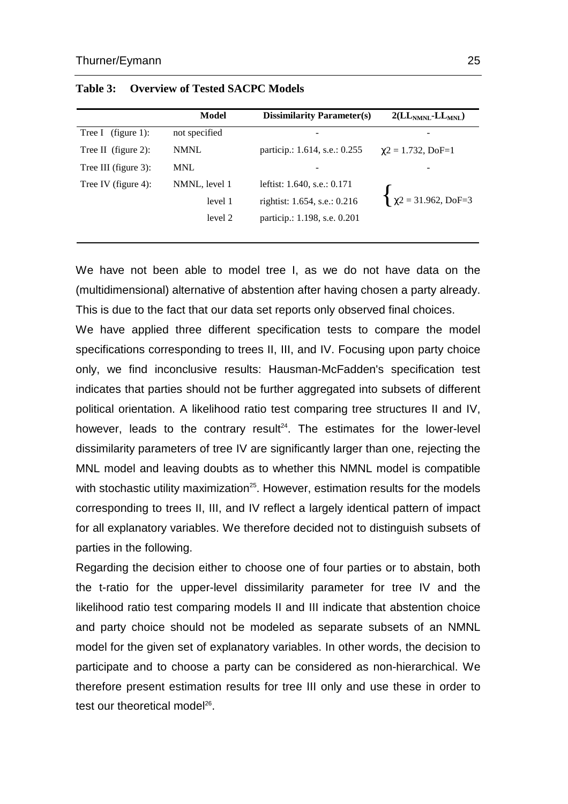|                      | Model         | <b>Dissimilarity Parameter(s)</b> | $2(\text{LL}_{NMI} - \text{LL}_{MNI})$ |
|----------------------|---------------|-----------------------------------|----------------------------------------|
| Tree I (figure 1):   | not specified |                                   |                                        |
| Tree II (figure 2):  | <b>NMNL</b>   | particip.: 1.614, s.e.: 0.255     | $\chi$ 2 = 1.732, DoF=1                |
| Tree III (figure 3): | <b>MNL</b>    |                                   |                                        |
| Tree IV (figure 4):  | NMNL, level 1 | leftist: 1.640, s.e.: 0.171       |                                        |
|                      | level 1       | rightist: 1.654, s.e.: 0.216      | $\chi$ 2 = 31.962, DoF=3               |
|                      | level 2       | particip.: 1.198, s.e. 0.201      |                                        |
|                      |               |                                   |                                        |

**Table 3: Overview of Tested SACPC Models**

We have not been able to model tree I, as we do not have data on the (multidimensional) alternative of abstention after having chosen a party already. This is due to the fact that our data set reports only observed final choices.

We have applied three different specification tests to compare the model specifications corresponding to trees II, III, and IV. Focusing upon party choice only, we find inconclusive results: Hausman-McFadden's specification test indicates that parties should not be further aggregated into subsets of different political orientation. A likelihood ratio test comparing tree structures II and IV, however, leads to the contrary result<sup>24</sup>. The estimates for the lower-level dissimilarity parameters of tree IV are significantly larger than one, rejecting the MNL model and leaving doubts as to whether this NMNL model is compatible with stochastic utility maximization<sup>25</sup>. However, estimation results for the models corresponding to trees II, III, and IV reflect a largely identical pattern of impact for all explanatory variables. We therefore decided not to distinguish subsets of parties in the following.

Regarding the decision either to choose one of four parties or to abstain, both the t-ratio for the upper-level dissimilarity parameter for tree IV and the likelihood ratio test comparing models II and III indicate that abstention choice and party choice should not be modeled as separate subsets of an NMNL model for the given set of explanatory variables. In other words, the decision to participate and to choose a party can be considered as non-hierarchical. We therefore present estimation results for tree III only and use these in order to test our theoretical model $^{26}$ .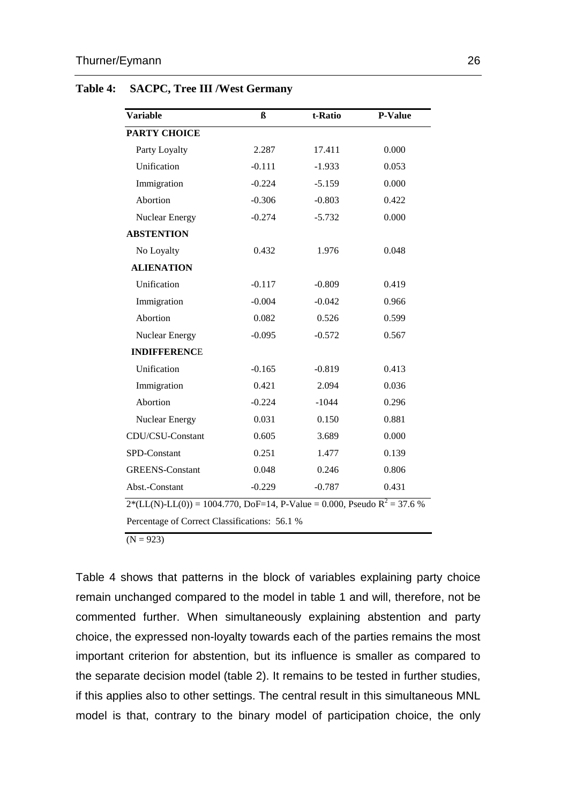| <b>Variable</b>        | ß        | t-Ratio  | <b>P-Value</b> |
|------------------------|----------|----------|----------------|
| <b>PARTY CHOICE</b>    |          |          |                |
| Party Loyalty          | 2.287    | 17.411   | 0.000          |
| Unification            | $-0.111$ | $-1.933$ | 0.053          |
| Immigration            | $-0.224$ | $-5.159$ | 0.000          |
| Abortion               | $-0.306$ | $-0.803$ | 0.422          |
| <b>Nuclear Energy</b>  | $-0.274$ | $-5.732$ | 0.000          |
| <b>ABSTENTION</b>      |          |          |                |
| No Loyalty             | 0.432    | 1.976    | 0.048          |
| <b>ALIENATION</b>      |          |          |                |
| Unification            | $-0.117$ | $-0.809$ | 0.419          |
| Immigration            | $-0.004$ | $-0.042$ | 0.966          |
| Abortion               | 0.082    | 0.526    | 0.599          |
| <b>Nuclear Energy</b>  | $-0.095$ | $-0.572$ | 0.567          |
| <b>INDIFFERENCE</b>    |          |          |                |
| Unification            | $-0.165$ | $-0.819$ | 0.413          |
| Immigration            | 0.421    | 2.094    | 0.036          |
| Abortion               | $-0.224$ | $-1044$  | 0.296          |
| <b>Nuclear Energy</b>  | 0.031    | 0.150    | 0.881          |
| CDU/CSU-Constant       | 0.605    | 3.689    | 0.000          |
| SPD-Constant           | 0.251    | 1.477    | 0.139          |
| <b>GREENS-Constant</b> | 0.048    | 0.246    | 0.806          |
| Abst.-Constant         | $-0.229$ | $-0.787$ | 0.431          |

**Table 4: SACPC, Tree III /West Germany**

 $(N = 923)$ 

Table 4 shows that patterns in the block of variables explaining party choice remain unchanged compared to the model in table 1 and will, therefore, not be commented further. When simultaneously explaining abstention and party choice, the expressed non-loyalty towards each of the parties remains the most important criterion for abstention, but its influence is smaller as compared to the separate decision model (table 2). It remains to be tested in further studies, if this applies also to other settings. The central result in this simultaneous MNL model is that, contrary to the binary model of participation choice, the only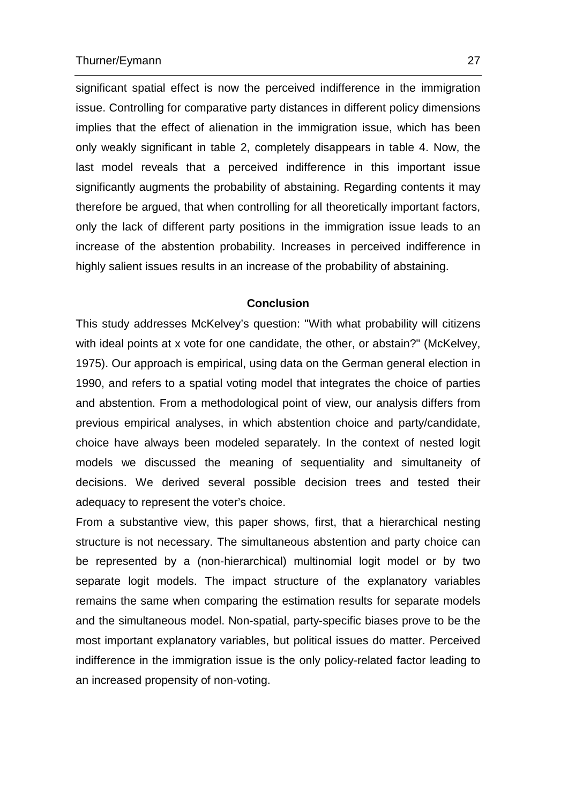<span id="page-30-0"></span>significant spatial effect is now the perceived indifference in the immigration issue. Controlling for comparative party distances in different policy dimensions implies that the effect of alienation in the immigration issue, which has been only weakly significant in table 2, completely disappears in table 4. Now, the last model reveals that a perceived indifference in this important issue significantly augments the probability of abstaining. Regarding contents it may therefore be argued, that when controlling for all theoretically important factors, only the lack of different party positions in the immigration issue leads to an increase of the abstention probability. Increases in perceived indifference in highly salient issues results in an increase of the probability of abstaining.

#### **Conclusion**

This study addresses McKelvey's question: "With what probability will citizens with ideal points at x vote for one candidate, the other, or abstain?" (McKelvey, 1975). Our approach is empirical, using data on the German general election in 1990, and refers to a spatial voting model that integrates the choice of parties and abstention. From a methodological point of view, our analysis differs from previous empirical analyses, in which abstention choice and party/candidate, choice have always been modeled separately. In the context of nested logit models we discussed the meaning of sequentiality and simultaneity of decisions. We derived several possible decision trees and tested their adequacy to represent the voter's choice.

From a substantive view, this paper shows, first, that a hierarchical nesting structure is not necessary. The simultaneous abstention and party choice can be represented by a (non-hierarchical) multinomial logit model or by two separate logit models. The impact structure of the explanatory variables remains the same when comparing the estimation results for separate models and the simultaneous model. Non-spatial, party-specific biases prove to be the most important explanatory variables, but political issues do matter. Perceived indifference in the immigration issue is the only policy-related factor leading to an increased propensity of non-voting.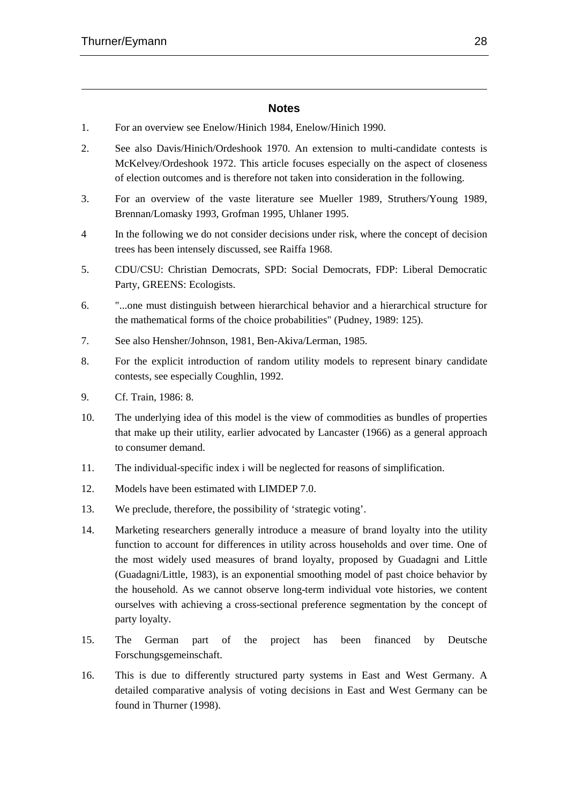## **Notes**

- 1. For an overview see Enelow/Hinich 1984, Enelow/Hinich 1990.
- 2. See also Davis/Hinich/Ordeshook 1970. An extension to multi-candidate contests is McKelvey/Ordeshook 1972. This article focuses especially on the aspect of closeness of election outcomes and is therefore not taken into consideration in the following.
- 3. For an overview of the vaste literature see Mueller 1989, Struthers/Young 1989, Brennan/Lomasky 1993, Grofman 1995, Uhlaner 1995.
- 4 In the following we do not consider decisions under risk, where the concept of decision trees has been intensely discussed, see Raiffa 1968.
- 5. CDU/CSU: Christian Democrats, SPD: Social Democrats, FDP: Liberal Democratic Party, GREENS: Ecologists.
- 6. "...one must distinguish between hierarchical behavior and a hierarchical structure for the mathematical forms of the choice probabilities" (Pudney, 1989: 125).
- 7. See also Hensher/Johnson, 1981, Ben-Akiva/Lerman, 1985.
- 8. For the explicit introduction of random utility models to represent binary candidate contests, see especially Coughlin, 1992.
- 9. Cf. Train, 1986: 8.
- 10. The underlying idea of this model is the view of commodities as bundles of properties that make up their utility, earlier advocated by Lancaster (1966) as a general approach to consumer demand.
- 11. The individual-specific index i will be neglected for reasons of simplification.
- 12. Models have been estimated with LIMDEP 7.0.
- 13. We preclude, therefore, the possibility of 'strategic voting'.
- 14. Marketing researchers generally introduce a measure of brand loyalty into the utility function to account for differences in utility across households and over time. One of the most widely used measures of brand loyalty, proposed by Guadagni and Little (Guadagni/Little, 1983), is an exponential smoothing model of past choice behavior by the household. As we cannot observe long-term individual vote histories, we content ourselves with achieving a cross-sectional preference segmentation by the concept of party loyalty.
- 15. The German part of the project has been financed by Deutsche Forschungsgemeinschaft.
- 16. This is due to differently structured party systems in East and West Germany. A detailed comparative analysis of voting decisions in East and West Germany can be found in Thurner (1998).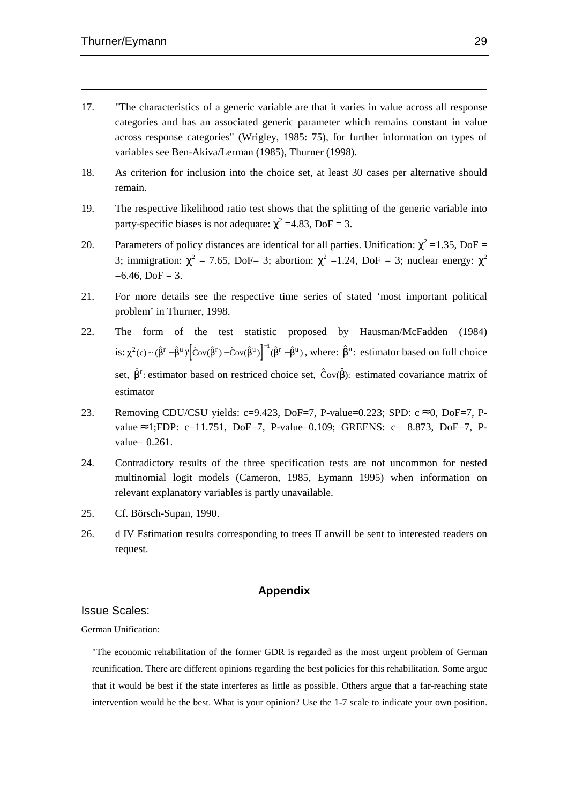- 17. "The characteristics of a generic variable are that it varies in value across all response categories and has an associated generic parameter which remains constant in value across response categories" (Wrigley, 1985: 75), for further information on types of variables see Ben-Akiva/Lerman (1985), Thurner (1998).
- 18. As criterion for inclusion into the choice set, at least 30 cases per alternative should remain.
- 19. The respective likelihood ratio test shows that the splitting of the generic variable into party-specific biases is not adequate:  $\chi^2$  =4.83, DoF = 3.
- 20. Parameters of policy distances are identical for all parties. Unification:  $\chi^2 = 1.35$ , DoF = 3; immigration:  $\chi^2 = 7.65$ , DoF= 3; abortion:  $\chi^2 = 1.24$ , DoF = 3; nuclear energy:  $\chi^2$  $=6.46$ , DoF  $= 3$ .
- 21. For more details see the respective time series of stated 'most important political problem' in Thurner, 1998.
- 22. The form of the test statistic proposed by Hausman/McFadden (1984) is:  $\chi^2(c) \sim (\hat{\beta}^r - \hat{\beta}^u)' [\hat{C}ov(\hat{\beta}^r) - \hat{C}ov(\hat{\beta}^u)]^{-1} (\hat{\beta}^r - \hat{\beta}^u)$ , where:  $\hat{\beta}^u$ : estimator based on full choice set,  $\hat{\beta}^r$ : estimator based on restriced choice set,  $\hat{C}ov(\hat{\beta})$ : estimated covariance matrix of estimator
- 23. Removing CDU/CSU yields: c=9.423, DoF=7, P-value=0.223; SPD:  $c \approx 0$ , DoF=7, Pvalue ≈ 1;FDP: c=11.751, DoF=7, P-value=0.109; GREENS: c= 8.873, DoF=7, Pvalue= 0.261.
- 24. Contradictory results of the three specification tests are not uncommon for nested multinomial logit models (Cameron, 1985, Eymann 1995) when information on relevant explanatory variables is partly unavailable.
- 25. Cf. Börsch-Supan, 1990.
- 26. d IV Estimation results corresponding to trees II anwill be sent to interested readers on request.

## **Appendix**

#### Issue Scales:

German Unification:

"The economic rehabilitation of the former GDR is regarded as the most urgent problem of German reunification. There are different opinions regarding the best policies for this rehabilitation. Some argue that it would be best if the state interferes as little as possible. Others argue that a far-reaching state intervention would be the best. What is your opinion? Use the 1-7 scale to indicate your own position.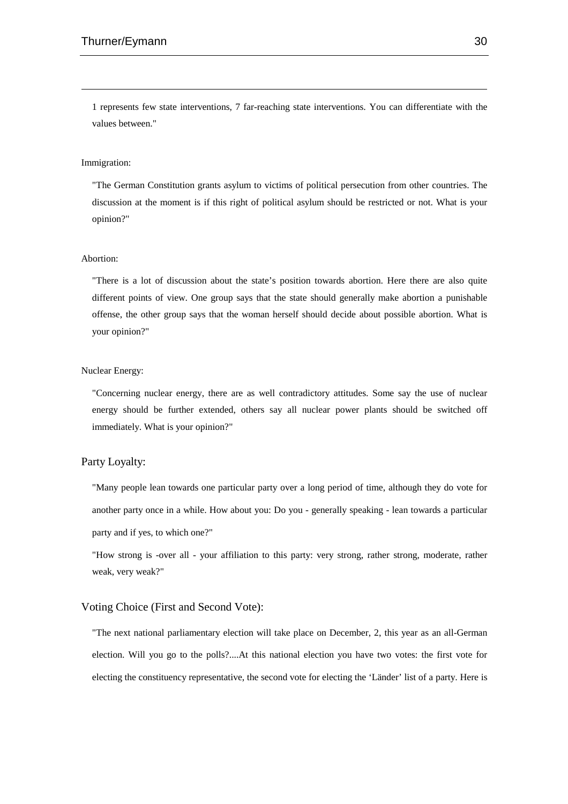1 represents few state interventions, 7 far-reaching state interventions. You can differentiate with the values between."

#### Immigration:

 $\overline{a}$ 

"The German Constitution grants asylum to victims of political persecution from other countries. The discussion at the moment is if this right of political asylum should be restricted or not. What is your opinion?"

#### Abortion:

"There is a lot of discussion about the state's position towards abortion. Here there are also quite different points of view. One group says that the state should generally make abortion a punishable offense, the other group says that the woman herself should decide about possible abortion. What is your opinion?"

#### Nuclear Energy:

"Concerning nuclear energy, there are as well contradictory attitudes. Some say the use of nuclear energy should be further extended, others say all nuclear power plants should be switched off immediately. What is your opinion?"

#### Party Loyalty:

"Many people lean towards one particular party over a long period of time, although they do vote for another party once in a while. How about you: Do you - generally speaking - lean towards a particular party and if yes, to which one?"

"How strong is -over all - your affiliation to this party: very strong, rather strong, moderate, rather weak, very weak?"

#### Voting Choice (First and Second Vote):

"The next national parliamentary election will take place on December, 2, this year as an all-German election. Will you go to the polls?....At this national election you have two votes: the first vote for electing the constituency representative, the second vote for electing the 'Länder' list of a party. Here is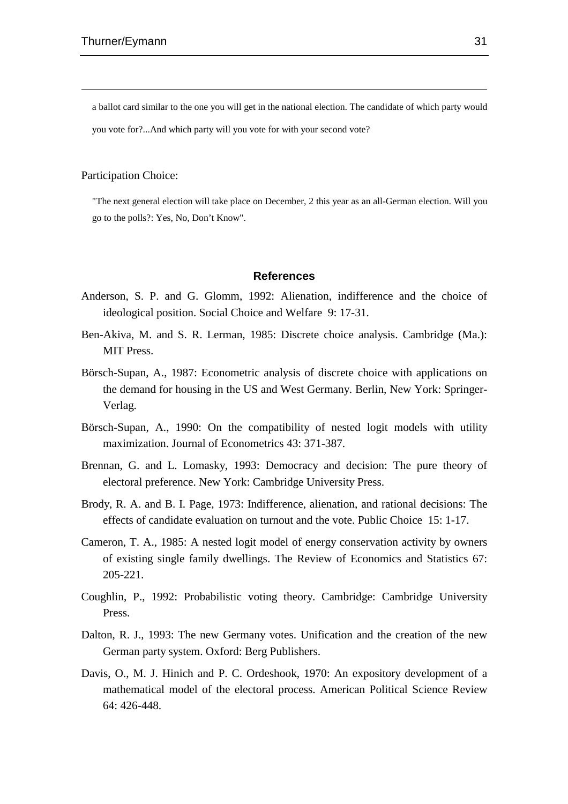a ballot card similar to the one you will get in the national election. The candidate of which party would you vote for?...And which party will you vote for with your second vote?

#### Participation Choice:

"The next general election will take place on December, 2 this year as an all-German election. Will you go to the polls?: Yes, No, Don't Know".

#### **References**

- Anderson, S. P. and G. Glomm, 1992: Alienation, indifference and the choice of ideological position. Social Choice and Welfare 9: 17-31.
- Ben-Akiva, M. and S. R. Lerman, 1985: Discrete choice analysis. Cambridge (Ma.): MIT Press.
- Börsch-Supan, A., 1987: Econometric analysis of discrete choice with applications on the demand for housing in the US and West Germany. Berlin, New York: Springer-Verlag.
- Börsch-Supan, A., 1990: On the compatibility of nested logit models with utility maximization. Journal of Econometrics 43: 371-387.
- Brennan, G. and L. Lomasky, 1993: Democracy and decision: The pure theory of electoral preference. New York: Cambridge University Press.
- Brody, R. A. and B. I. Page, 1973: Indifference, alienation, and rational decisions: The effects of candidate evaluation on turnout and the vote. Public Choice 15: 1-17.
- Cameron, T. A., 1985: A nested logit model of energy conservation activity by owners of existing single family dwellings. The Review of Economics and Statistics 67: 205-221.
- Coughlin, P., 1992: Probabilistic voting theory. Cambridge: Cambridge University Press.
- Dalton, R. J., 1993: The new Germany votes. Unification and the creation of the new German party system. Oxford: Berg Publishers.
- Davis, O., M. J. Hinich and P. C. Ordeshook, 1970: An expository development of a mathematical model of the electoral process. American Political Science Review 64: 426-448.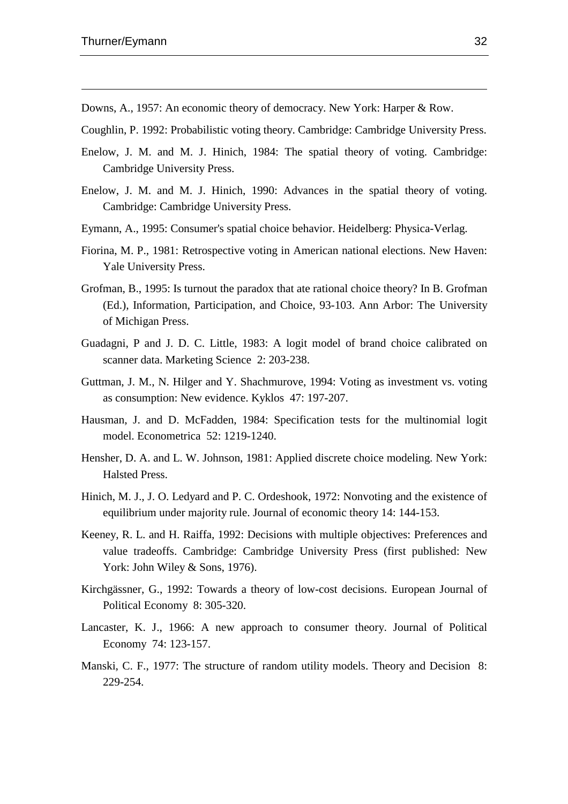Downs, A., 1957: An economic theory of democracy. New York: Harper & Row.

Coughlin, P. 1992: Probabilistic voting theory. Cambridge: Cambridge University Press.

- Enelow, J. M. and M. J. Hinich, 1984: The spatial theory of voting. Cambridge: Cambridge University Press.
- Enelow, J. M. and M. J. Hinich, 1990: Advances in the spatial theory of voting. Cambridge: Cambridge University Press.
- Eymann, A., 1995: Consumer's spatial choice behavior. Heidelberg: Physica-Verlag.
- Fiorina, M. P., 1981: Retrospective voting in American national elections. New Haven: Yale University Press.
- Grofman, B., 1995: Is turnout the paradox that ate rational choice theory? In B. Grofman (Ed.), Information, Participation, and Choice, 93-103. Ann Arbor: The University of Michigan Press.
- Guadagni, P and J. D. C. Little, 1983: A logit model of brand choice calibrated on scanner data. Marketing Science 2: 203-238.
- Guttman, J. M., N. Hilger and Y. Shachmurove, 1994: Voting as investment vs. voting as consumption: New evidence. Kyklos 47: 197-207.
- Hausman, J. and D. McFadden, 1984: Specification tests for the multinomial logit model. Econometrica 52: 1219-1240.
- Hensher, D. A. and L. W. Johnson, 1981: Applied discrete choice modeling. New York: Halsted Press.
- Hinich, M. J., J. O. Ledyard and P. C. Ordeshook, 1972: Nonvoting and the existence of equilibrium under majority rule. Journal of economic theory 14: 144-153.
- Keeney, R. L. and H. Raiffa, 1992: Decisions with multiple objectives: Preferences and value tradeoffs. Cambridge: Cambridge University Press (first published: New York: John Wiley & Sons, 1976).
- Kirchgässner, G., 1992: Towards a theory of low-cost decisions. European Journal of Political Economy 8: 305-320.
- Lancaster, K. J., 1966: A new approach to consumer theory. Journal of Political Economy 74: 123-157.
- Manski, C. F., 1977: The structure of random utility models. Theory and Decision 8: 229-254.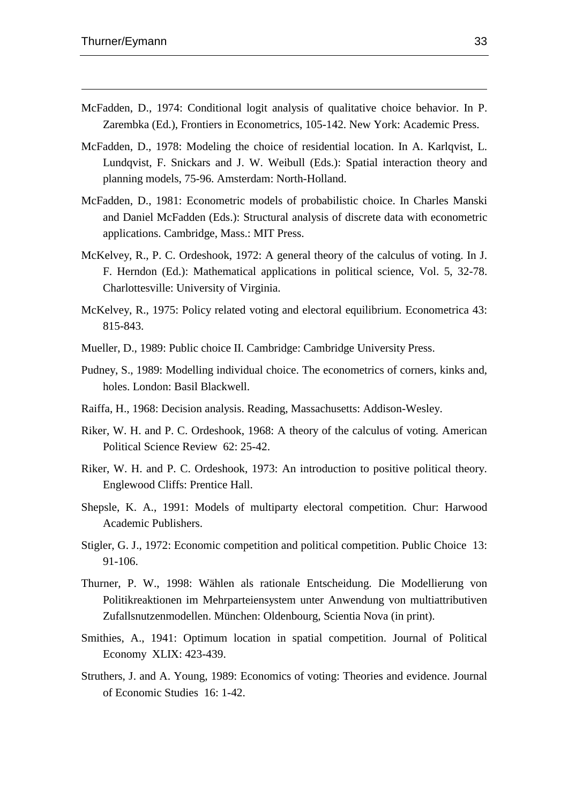- McFadden, D., 1974: Conditional logit analysis of qualitative choice behavior. In P. Zarembka (Ed.), Frontiers in Econometrics, 105-142. New York: Academic Press.
- McFadden, D., 1978: Modeling the choice of residential location. In A. Karlqvist, L. Lundqvist, F. Snickars and J. W. Weibull (Eds.): Spatial interaction theory and planning models, 75-96. Amsterdam: North-Holland.
- McFadden, D., 1981: Econometric models of probabilistic choice. In Charles Manski and Daniel McFadden (Eds.): Structural analysis of discrete data with econometric applications. Cambridge, Mass.: MIT Press.
- McKelvey, R., P. C. Ordeshook, 1972: A general theory of the calculus of voting. In J. F. Herndon (Ed.): Mathematical applications in political science, Vol. 5, 32-78. Charlottesville: University of Virginia.
- McKelvey, R., 1975: Policy related voting and electoral equilibrium. Econometrica 43: 815-843.
- Mueller, D., 1989: Public choice II. Cambridge: Cambridge University Press.
- Pudney, S., 1989: Modelling individual choice. The econometrics of corners, kinks and, holes. London: Basil Blackwell.
- Raiffa, H., 1968: Decision analysis. Reading, Massachusetts: Addison-Wesley.
- Riker, W. H. and P. C. Ordeshook, 1968: A theory of the calculus of voting. American Political Science Review 62: 25-42.
- Riker, W. H. and P. C. Ordeshook, 1973: An introduction to positive political theory. Englewood Cliffs: Prentice Hall.
- Shepsle, K. A., 1991: Models of multiparty electoral competition. Chur: Harwood Academic Publishers.
- Stigler, G. J., 1972: Economic competition and political competition. Public Choice 13: 91-106.
- Thurner, P. W., 1998: Wählen als rationale Entscheidung. Die Modellierung von Politikreaktionen im Mehrparteiensystem unter Anwendung von multiattributiven Zufallsnutzenmodellen. München: Oldenbourg, Scientia Nova (in print).
- Smithies, A., 1941: Optimum location in spatial competition. Journal of Political Economy XLIX: 423-439.
- Struthers, J. and A. Young, 1989: Economics of voting: Theories and evidence. Journal of Economic Studies 16: 1-42.